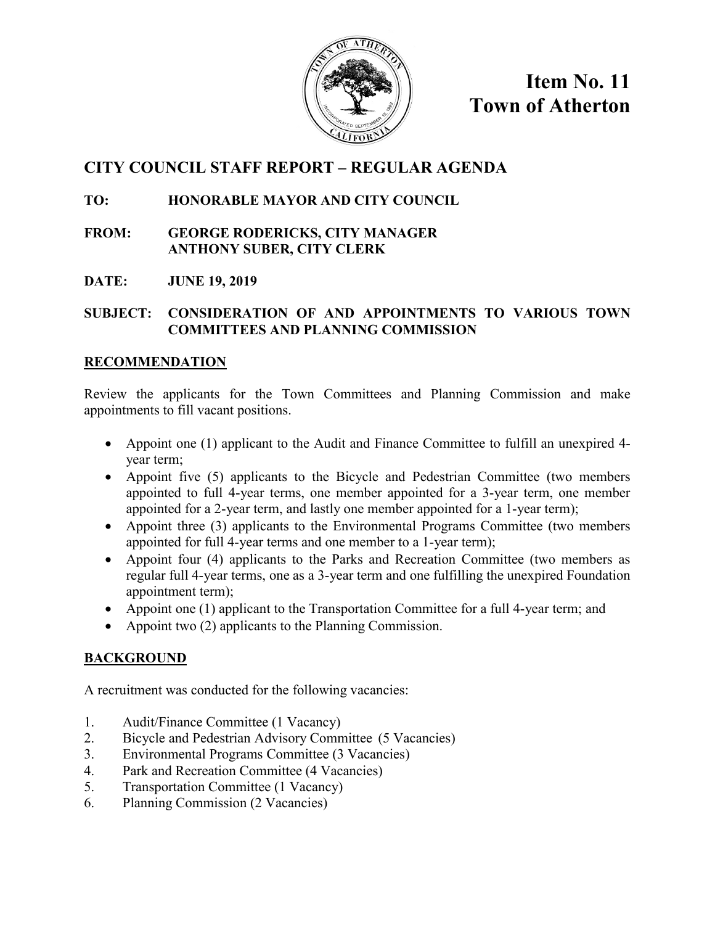

**Item No. 11 Town of Atherton**

## **CITY COUNCIL STAFF REPORT – REGULAR AGENDA**

## **TO: HONORABLE MAYOR AND CITY COUNCIL**

- **FROM: GEORGE RODERICKS, CITY MANAGER ANTHONY SUBER, CITY CLERK**
- **DATE: JUNE 19, 2019**

**SUBJECT: CONSIDERATION OF AND APPOINTMENTS TO VARIOUS TOWN COMMITTEES AND PLANNING COMMISSION** 

## **RECOMMENDATION**

Review the applicants for the Town Committees and Planning Commission and make appointments to fill vacant positions.

- Appoint one (1) applicant to the Audit and Finance Committee to fulfill an unexpired 4 year term;
- Appoint five (5) applicants to the Bicycle and Pedestrian Committee (two members appointed to full 4-year terms, one member appointed for a 3-year term, one member appointed for a 2-year term, and lastly one member appointed for a 1-year term);
- Appoint three (3) applicants to the Environmental Programs Committee (two members appointed for full 4-year terms and one member to a 1-year term);
- Appoint four (4) applicants to the Parks and Recreation Committee (two members as regular full 4-year terms, one as a 3-year term and one fulfilling the unexpired Foundation appointment term);
- Appoint one (1) applicant to the Transportation Committee for a full 4-year term; and
- Appoint two (2) applicants to the Planning Commission.

## **BACKGROUND**

A recruitment was conducted for the following vacancies:

- 1. Audit/Finance Committee (1 Vacancy)
- 2. Bicycle and Pedestrian Advisory Committee (5 Vacancies)
- 3. Environmental Programs Committee (3 Vacancies)
- 4. Park and Recreation Committee (4 Vacancies)
- 5. Transportation Committee (1 Vacancy)
- 6. Planning Commission (2 Vacancies)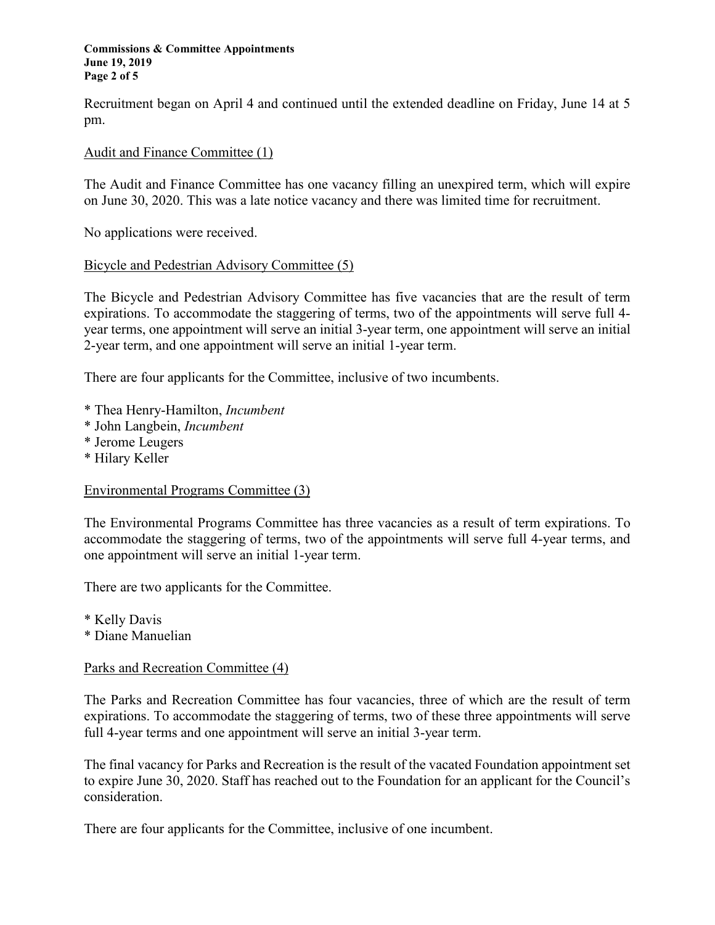### **Commissions & Committee Appointments June 19, 2019 Page 2 of 5**

Recruitment began on April 4 and continued until the extended deadline on Friday, June 14 at 5 pm.

### Audit and Finance Committee (1)

The Audit and Finance Committee has one vacancy filling an unexpired term, which will expire on June 30, 2020. This was a late notice vacancy and there was limited time for recruitment.

No applications were received.

### Bicycle and Pedestrian Advisory Committee (5)

The Bicycle and Pedestrian Advisory Committee has five vacancies that are the result of term expirations. To accommodate the staggering of terms, two of the appointments will serve full 4 year terms, one appointment will serve an initial 3-year term, one appointment will serve an initial 2-year term, and one appointment will serve an initial 1-year term.

There are four applicants for the Committee, inclusive of two incumbents.

- \* Thea Henry-Hamilton, *Incumbent*
- \* John Langbein, *Incumbent*
- \* Jerome Leugers
- \* Hilary Keller

### Environmental Programs Committee (3)

The Environmental Programs Committee has three vacancies as a result of term expirations. To accommodate the staggering of terms, two of the appointments will serve full 4-year terms, and one appointment will serve an initial 1-year term.

There are two applicants for the Committee.

- \* Kelly Davis
- \* Diane Manuelian

### Parks and Recreation Committee (4)

The Parks and Recreation Committee has four vacancies, three of which are the result of term expirations. To accommodate the staggering of terms, two of these three appointments will serve full 4-year terms and one appointment will serve an initial 3-year term.

The final vacancy for Parks and Recreation is the result of the vacated Foundation appointment set to expire June 30, 2020. Staff has reached out to the Foundation for an applicant for the Council's consideration.

There are four applicants for the Committee, inclusive of one incumbent.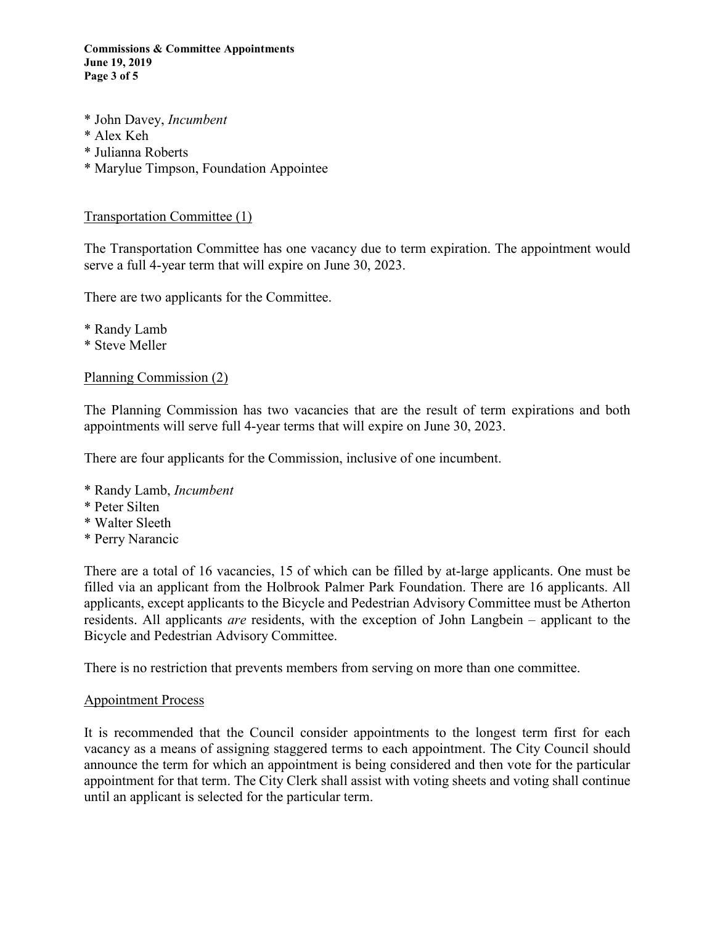**Commissions & Committee Appointments June 19, 2019 Page 3 of 5**

- \* John Davey, *Incumbent*
- \* Alex Keh
- \* Julianna Roberts
- \* Marylue Timpson, Foundation Appointee

### Transportation Committee (1)

The Transportation Committee has one vacancy due to term expiration. The appointment would serve a full 4-year term that will expire on June 30, 2023.

There are two applicants for the Committee.

- \* Randy Lamb
- \* Steve Meller

### Planning Commission (2)

The Planning Commission has two vacancies that are the result of term expirations and both appointments will serve full 4-year terms that will expire on June 30, 2023.

There are four applicants for the Commission, inclusive of one incumbent.

- \* Randy Lamb, *Incumbent*
- \* Peter Silten
- \* Walter Sleeth
- \* Perry Narancic

There are a total of 16 vacancies, 15 of which can be filled by at-large applicants. One must be filled via an applicant from the Holbrook Palmer Park Foundation. There are 16 applicants. All applicants, except applicants to the Bicycle and Pedestrian Advisory Committee must be Atherton residents. All applicants *are* residents, with the exception of John Langbein – applicant to the Bicycle and Pedestrian Advisory Committee.

There is no restriction that prevents members from serving on more than one committee.

### Appointment Process

It is recommended that the Council consider appointments to the longest term first for each vacancy as a means of assigning staggered terms to each appointment. The City Council should announce the term for which an appointment is being considered and then vote for the particular appointment for that term. The City Clerk shall assist with voting sheets and voting shall continue until an applicant is selected for the particular term.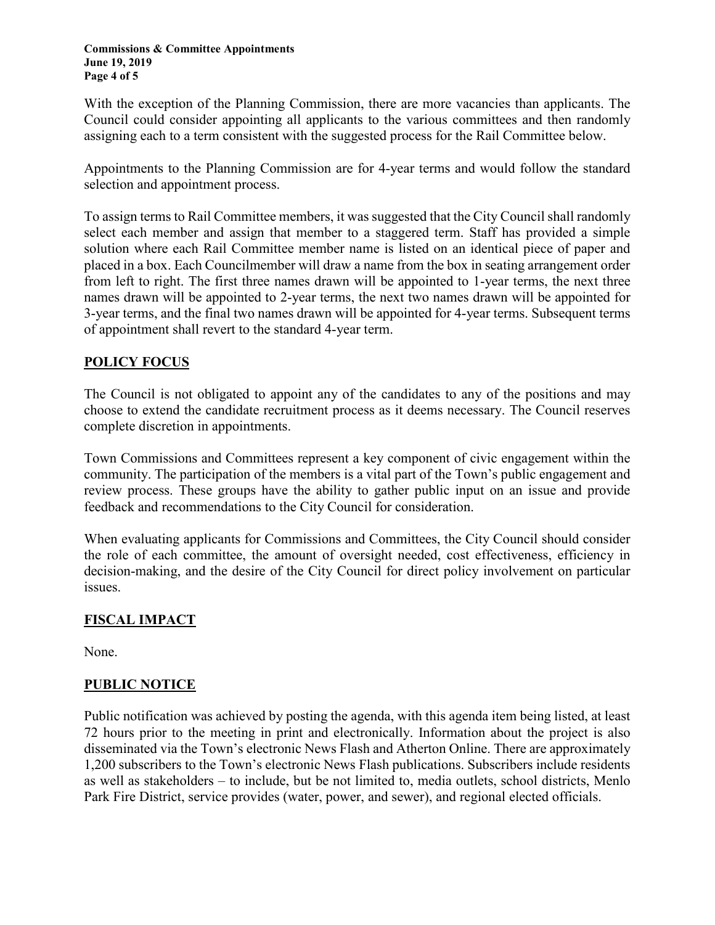With the exception of the Planning Commission, there are more vacancies than applicants. The Council could consider appointing all applicants to the various committees and then randomly assigning each to a term consistent with the suggested process for the Rail Committee below.

Appointments to the Planning Commission are for 4-year terms and would follow the standard selection and appointment process.

To assign terms to Rail Committee members, it was suggested that the City Council shall randomly select each member and assign that member to a staggered term. Staff has provided a simple solution where each Rail Committee member name is listed on an identical piece of paper and placed in a box. Each Councilmember will draw a name from the box in seating arrangement order from left to right. The first three names drawn will be appointed to 1-year terms, the next three names drawn will be appointed to 2-year terms, the next two names drawn will be appointed for 3-year terms, and the final two names drawn will be appointed for 4-year terms. Subsequent terms of appointment shall revert to the standard 4-year term.

## **POLICY FOCUS**

The Council is not obligated to appoint any of the candidates to any of the positions and may choose to extend the candidate recruitment process as it deems necessary. The Council reserves complete discretion in appointments.

Town Commissions and Committees represent a key component of civic engagement within the community. The participation of the members is a vital part of the Town's public engagement and review process. These groups have the ability to gather public input on an issue and provide feedback and recommendations to the City Council for consideration.

When evaluating applicants for Commissions and Committees, the City Council should consider the role of each committee, the amount of oversight needed, cost effectiveness, efficiency in decision-making, and the desire of the City Council for direct policy involvement on particular issues.

## **FISCAL IMPACT**

None.

## **PUBLIC NOTICE**

Public notification was achieved by posting the agenda, with this agenda item being listed, at least 72 hours prior to the meeting in print and electronically. Information about the project is also disseminated via the Town's electronic News Flash and Atherton Online. There are approximately 1,200 subscribers to the Town's electronic News Flash publications. Subscribers include residents as well as stakeholders – to include, but be not limited to, media outlets, school districts, Menlo Park Fire District, service provides (water, power, and sewer), and regional elected officials.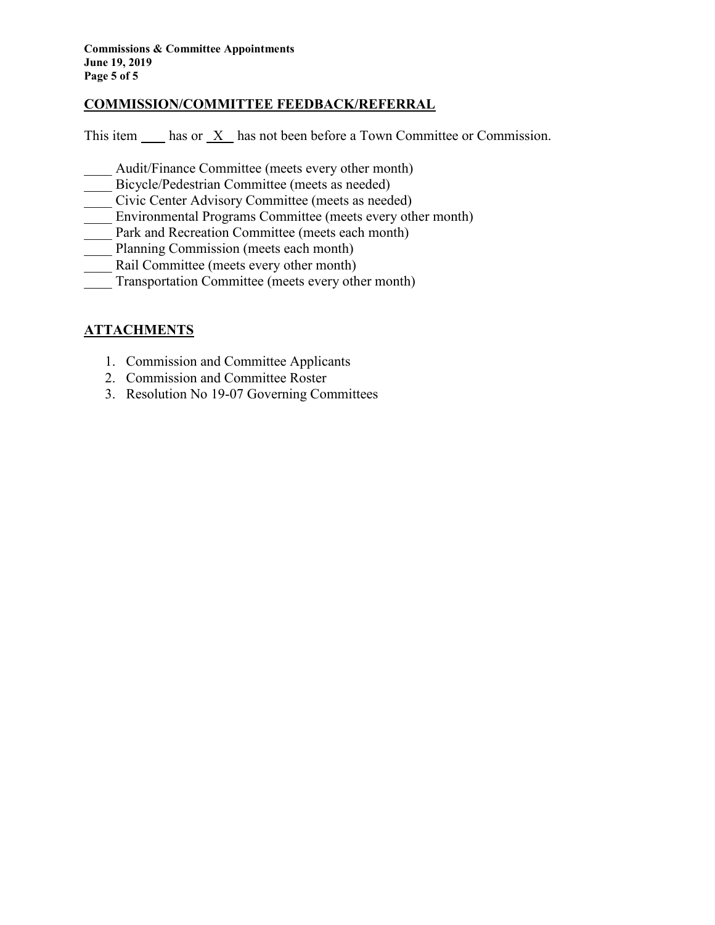### **COMMISSION/COMMITTEE FEEDBACK/REFERRAL**

This item has or X has not been before a Town Committee or Commission.

- Audit/Finance Committee (meets every other month)
- Bicycle/Pedestrian Committee (meets as needed)
- Civic Center Advisory Committee (meets as needed)
- Environmental Programs Committee (meets every other month)
- Park and Recreation Committee (meets each month)
- Planning Commission (meets each month)
- Rail Committee (meets every other month)
- Transportation Committee (meets every other month)

## **ATTACHMENTS**

- 1. Commission and Committee Applicants
- 2. Commission and Committee Roster
- 3. Resolution No 19-07 Governing Committees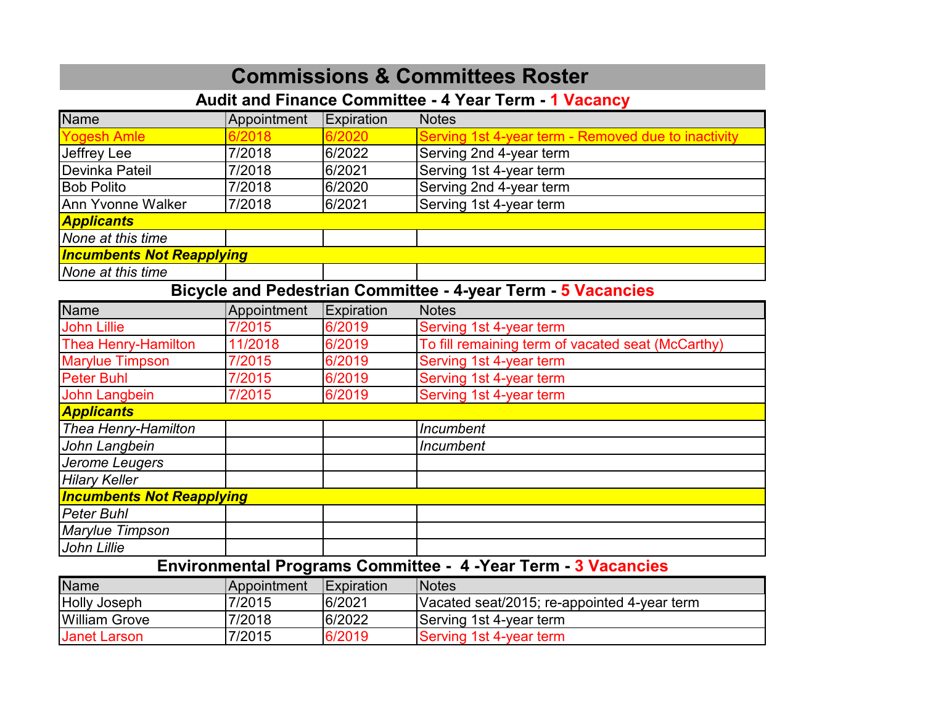# **Commissions & Committees Roster**

## **Audit and Finance Committee - 4 Year Term - 1 Vacancy**

| <b>Name</b>                      | Appointment | Expiration | <b>Notes</b>                                        |
|----------------------------------|-------------|------------|-----------------------------------------------------|
| <b>Yogesh Amle</b>               | 6/2018      | 6/2020     | Serving 1st 4-year term - Removed due to inactivity |
| Jeffrey Lee                      | 7/2018      | 6/2022     | Serving 2nd 4-year term                             |
| Devinka Pateil                   | 7/2018      | 6/2021     | Serving 1st 4-year term                             |
| <b>Bob Polito</b>                | 7/2018      | 6/2020     | Serving 2nd 4-year term                             |
| Ann Yvonne Walker                | 7/2018      | 6/2021     | Serving 1st 4-year term                             |
| <b>Applicants</b>                |             |            |                                                     |
| None at this time                |             |            |                                                     |
| <b>Incumbents Not Reapplying</b> |             |            |                                                     |
| None at this time                |             |            |                                                     |

## **Bicycle and Pedestrian Committee - 4-year Term - 5 Vacancies**

| <b>Name</b>                      | Appointment | <b>Expiration</b> | <b>Notes</b>                                      |
|----------------------------------|-------------|-------------------|---------------------------------------------------|
| <b>John Lillie</b>               | 7/2015      | 6/2019            | Serving 1st 4-year term                           |
| <b>Thea Henry-Hamilton</b>       | 11/2018     | 6/2019            | To fill remaining term of vacated seat (McCarthy) |
| <b>Marylue Timpson</b>           | 7/2015      | 6/2019            | Serving 1st 4-year term                           |
| <b>Peter Buhl</b>                | 7/2015      | 6/2019            | Serving 1st 4-year term                           |
| John Langbein                    | 7/2015      | 6/2019            | Serving 1st 4-year term                           |
| <b>Applicants</b>                |             |                   |                                                   |
| Thea Henry-Hamilton              |             |                   | Incumbent                                         |
| John Langbein                    |             |                   | Incumbent                                         |
| Jerome Leugers                   |             |                   |                                                   |
| <b>Hilary Keller</b>             |             |                   |                                                   |
| <b>Incumbents Not Reapplying</b> |             |                   |                                                   |
| <b>Peter Buhl</b>                |             |                   |                                                   |
| Marylue Timpson                  |             |                   |                                                   |
| John Lillie                      |             |                   |                                                   |

## **Environmental Programs Committee - 4 -Year Term - 3 Vacancies**

| <b>Name</b>          | Appointment | Expiration | <i><b>Notes</b></i>                         |
|----------------------|-------------|------------|---------------------------------------------|
| <b>Holly Joseph</b>  | 7/2015      | 6/2021     | Vacated seat/2015; re-appointed 4-year term |
| <b>William Grove</b> | 7/2018      | 6/2022     | Serving 1st 4-year term                     |
| Janet Larson         | 7/2015      | 6/2019     | Serving 1st 4-year term                     |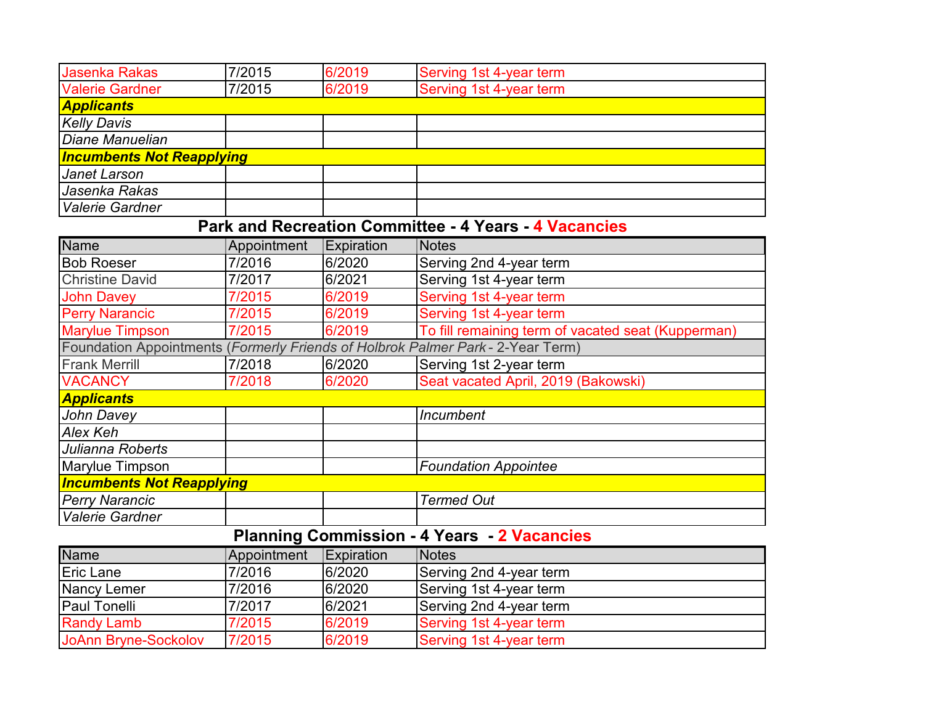| <b>Jasenka Rakas</b>                                                            | 7/2015      | 6/2019     | Serving 1st 4-year term                                      |
|---------------------------------------------------------------------------------|-------------|------------|--------------------------------------------------------------|
| <b>Valerie Gardner</b>                                                          | 7/2015      | 6/2019     | Serving 1st 4-year term                                      |
| <b>Applicants</b>                                                               |             |            |                                                              |
| <b>Kelly Davis</b>                                                              |             |            |                                                              |
| Diane Manuelian                                                                 |             |            |                                                              |
| <b>Incumbents Not Reapplying</b>                                                |             |            |                                                              |
| Janet Larson                                                                    |             |            |                                                              |
| Jasenka Rakas                                                                   |             |            |                                                              |
| <b>Valerie Gardner</b>                                                          |             |            |                                                              |
|                                                                                 |             |            | <b>Park and Recreation Committee - 4 Years - 4 Vacancies</b> |
| <b>Name</b>                                                                     | Appointment | Expiration | <b>Notes</b>                                                 |
| <b>Bob Roeser</b>                                                               | 7/2016      | 6/2020     | Serving 2nd 4-year term                                      |
| <b>Christine David</b>                                                          | 7/2017      | 6/2021     | Serving 1st 4-year term                                      |
| John Davey                                                                      | 7/2015      | 6/2019     | Serving 1st 4-year term                                      |
| <b>Perry Narancic</b>                                                           | 7/2015      | 6/2019     | Serving 1st 4-year term                                      |
| <b>Marylue Timpson</b>                                                          | 7/2015      | 6/2019     | To fill remaining term of vacated seat (Kupperman)           |
| Foundation Appointments (Formerly Friends of Holbrok Palmer Park - 2-Year Term) |             |            |                                                              |
| <b>Frank Merrill</b>                                                            | 7/2018      | 6/2020     | Serving 1st 2-year term                                      |
| <b>VACANCY</b>                                                                  | 7/2018      | 6/2020     | Seat vacated April, 2019 (Bakowski)                          |
| <b>Applicants</b>                                                               |             |            |                                                              |
| John Davey                                                                      |             |            | Incumbent                                                    |
| <b>Alex Keh</b>                                                                 |             |            |                                                              |
| Julianna Roberts                                                                |             |            |                                                              |
| Marylue Timpson                                                                 |             |            | <b>Foundation Appointee</b>                                  |
| <b>Incumbents Not Reapplying</b>                                                |             |            |                                                              |
| <b>Perry Narancic</b>                                                           |             |            | <b>Termed Out</b>                                            |
| <b>Valerie Gardner</b>                                                          |             |            |                                                              |
|                                                                                 |             |            | <b>Planning Commission - 4 Years - 2 Vacancies</b>           |
| <b>Name</b>                                                                     | Appointment | Expiration | <b>Notes</b>                                                 |
| <b>Eric Lane</b>                                                                | 7/2016      | 6/2020     | Serving 2nd 4-year term                                      |
| Nancy Lemer                                                                     | 7/2016      | 6/2020     | Serving 1st 4-year term                                      |
| <b>Paul Tonelli</b>                                                             | 7/2017      | 6/2021     | Serving 2nd 4-year term                                      |
| <b>Randy Lamb</b>                                                               | 7/2015      | 6/2019     | Serving 1st 4-year term                                      |
| <b>JoAnn Bryne-Sockolov</b>                                                     | 7/2015      | 6/2019     | Serving 1st 4-year term                                      |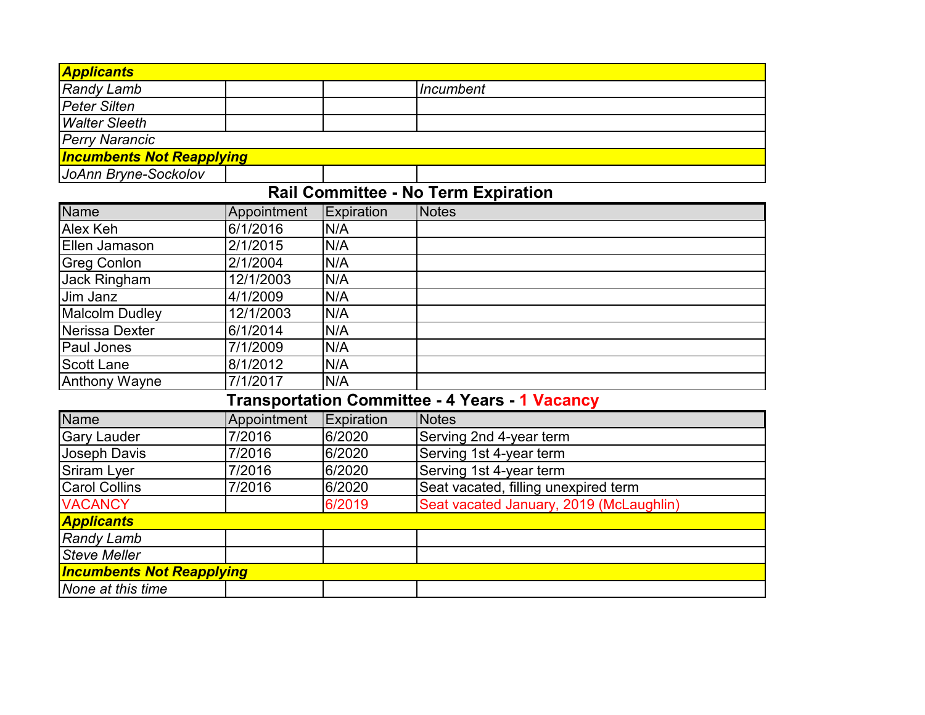| <b>Applicants</b>                |                      |            |                                                       |
|----------------------------------|----------------------|------------|-------------------------------------------------------|
| <b>Randy Lamb</b>                |                      |            | <b>Incumbent</b>                                      |
| <b>Peter Silten</b>              |                      |            |                                                       |
| <b>Walter Sleeth</b>             |                      |            |                                                       |
| <b>Perry Narancic</b>            |                      |            |                                                       |
| <b>Incumbents Not Reapplying</b> |                      |            |                                                       |
| JoAnn Bryne-Sockolov             |                      |            |                                                       |
|                                  |                      |            | Rail Committee - No Term Expiration                   |
| <b>Name</b>                      | Appointment          | Expiration | <b>Notes</b>                                          |
| Alex Keh                         | 6/1/2016             | N/A        |                                                       |
| Ellen Jamason                    | 2/1/2015             | N/A        |                                                       |
| <b>Greg Conlon</b>               | 2/1/2004             | N/A        |                                                       |
| Jack Ringham                     | 12/1/2003            | N/A        |                                                       |
| Jim Janz                         | 4/1/2009             | N/A        |                                                       |
| <b>Malcolm Dudley</b>            | 12/1/2003            | N/A        |                                                       |
| Nerissa Dexter                   | 6/1/2014             | N/A        |                                                       |
| Paul Jones                       | $\frac{1}{7}$ 1/2009 | N/A        |                                                       |
| <b>Scott Lane</b>                | 8/1/2012             | N/A        |                                                       |
| <b>Anthony Wayne</b>             | 7/1/2017             | N/A        |                                                       |
|                                  |                      |            | <b>Transportation Committee - 4 Years - 1 Vacancy</b> |
| <b>Name</b>                      | Appointment          | Expiration | <b>Notes</b>                                          |
| <b>Gary Lauder</b>               | 7/2016               | 6/2020     | Serving 2nd 4-year term                               |
| <b>Joseph Davis</b>              | 7/2016               | 6/2020     | Serving 1st 4-year term                               |
| Sriram Lyer                      | 7/2016               | 6/2020     | Serving 1st 4-year term                               |
| <b>Carol Collins</b>             | 7/2016               | 6/2020     | Seat vacated, filling unexpired term                  |
| <b>VACANCY</b>                   |                      | 6/2019     | Seat vacated January, 2019 (McLaughlin)               |
| <b>Applicants</b>                |                      |            |                                                       |
| <b>Randy Lamb</b>                |                      |            |                                                       |
| <b>Steve Meller</b>              |                      |            |                                                       |
| <b>Incumbents Not Reapplying</b> |                      |            |                                                       |
| None at this time                |                      |            |                                                       |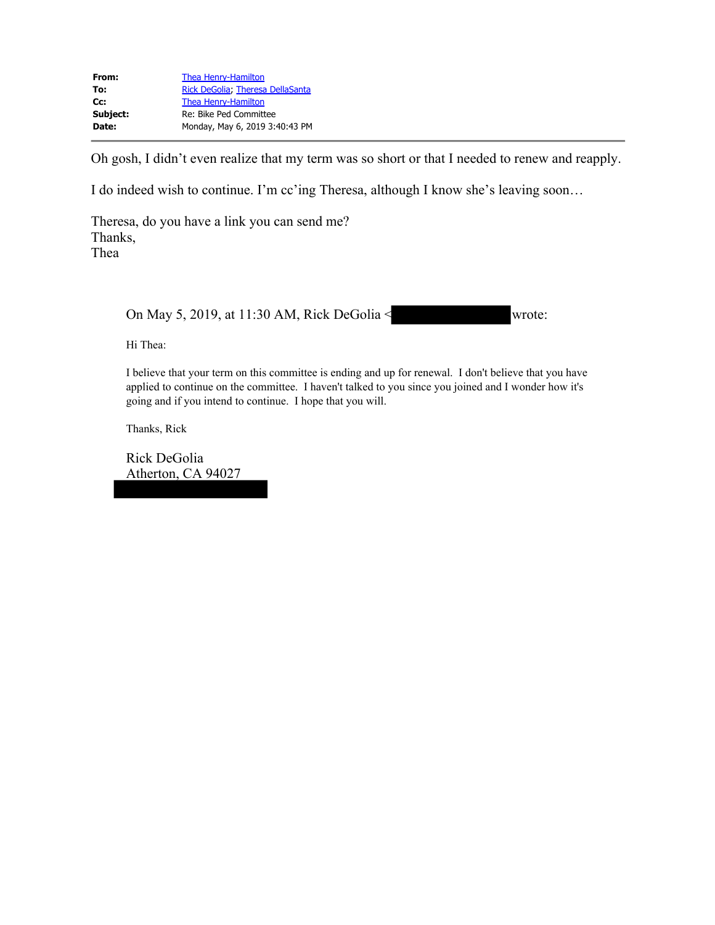| From:    | Thea Henry-Hamilton              |
|----------|----------------------------------|
| To:      | Rick DeGolia, Theresa DellaSanta |
| Cc:      | Thea Henry-Hamilton              |
| Subject: | Re: Bike Ped Committee           |
| Date:    | Monday, May 6, 2019 3:40:43 PM   |
|          |                                  |

Oh gosh, I didn't even realize that my term was so short or that I needed to renew and reapply.

I do indeed wish to continue. I'm cc'ing Theresa, although I know she's leaving soon…

Theresa, do you have a link you can send me? Thanks, Thea

On May 5, 2019, at  $11:30$  AM, Rick DeGolia  $\leq$  wrote:

Hi Thea:

I believe that your term on this committee is ending and up for renewal. I don't believe that you have applied to continue on the committee. I haven't talked to you since you joined and I wonder how it's going and if you intend to continue. I hope that you will.

Thanks, Rick

Rick DeGolia Atherton, CA 94027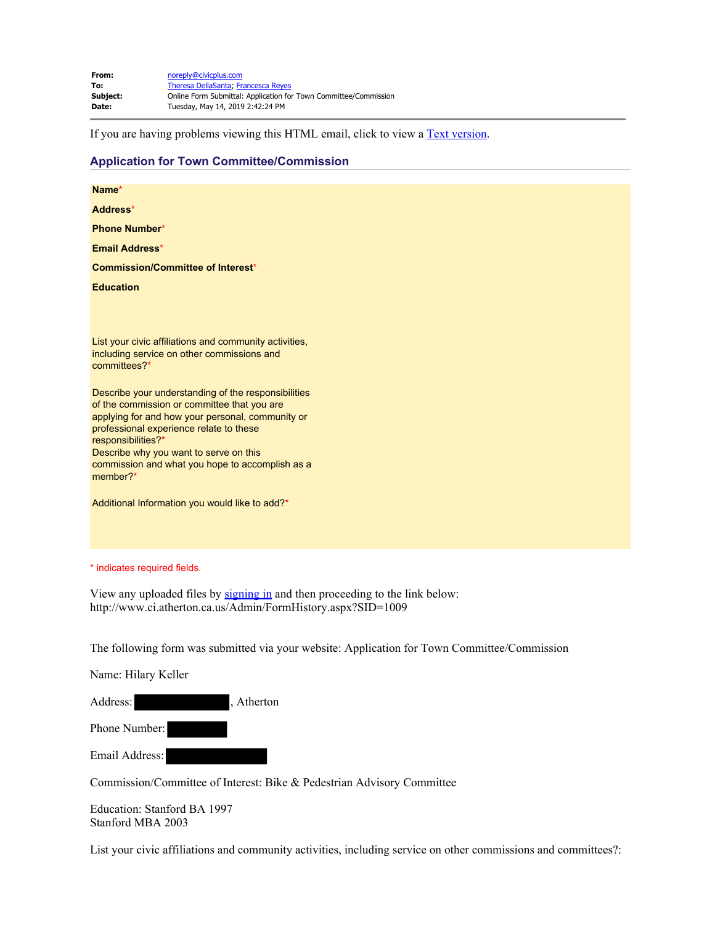| From:    | noreply@civicplus.com                                            |
|----------|------------------------------------------------------------------|
| To:      | Theresa DellaSanta; Francesca Reyes                              |
| Subiect: | Online Form Submittal: Application for Town Committee/Commission |
| Date:    | Tuesday, May 14, 2019 2:42:24 PM                                 |

If you are having problems viewing this HTML email, click to view a **Text version**.

### **Application for Town Committee/Commission**

| Name*                                                                                                                                                                                                                                                                                                                            |
|----------------------------------------------------------------------------------------------------------------------------------------------------------------------------------------------------------------------------------------------------------------------------------------------------------------------------------|
| Address*                                                                                                                                                                                                                                                                                                                         |
| <b>Phone Number*</b>                                                                                                                                                                                                                                                                                                             |
| <b>Email Address*</b>                                                                                                                                                                                                                                                                                                            |
| <b>Commission/Committee of Interest*</b>                                                                                                                                                                                                                                                                                         |
| <b>Education</b>                                                                                                                                                                                                                                                                                                                 |
|                                                                                                                                                                                                                                                                                                                                  |
| List your civic affiliations and community activities,<br>including service on other commissions and<br>committees?*                                                                                                                                                                                                             |
| Describe your understanding of the responsibilities<br>of the commission or committee that you are<br>applying for and how your personal, community or<br>professional experience relate to these<br>responsibilities?*<br>Describe why you want to serve on this<br>commission and what you hope to accomplish as a<br>member?* |
| Additional Information you would like to add?*                                                                                                                                                                                                                                                                                   |
|                                                                                                                                                                                                                                                                                                                                  |
|                                                                                                                                                                                                                                                                                                                                  |

\* indicates required fields.

View any uploaded files by [signing in](file:////c/www.ci.atherton.ca.us/MyAccount) and then proceeding to the link below: http://www.ci.atherton.ca.us/Admin/FormHistory.aspx?SID=1009

The following form was submitted via your website: Application for Town Committee/Commission

Name: Hilary Keller

| Address:       | , Atherton |
|----------------|------------|
| Phone Number:  |            |
| Email Address: |            |

Commission/Committee of Interest: Bike & Pedestrian Advisory Committee

Education: Stanford BA 1997 Stanford MBA 2003

List your civic affiliations and community activities, including service on other commissions and committees?: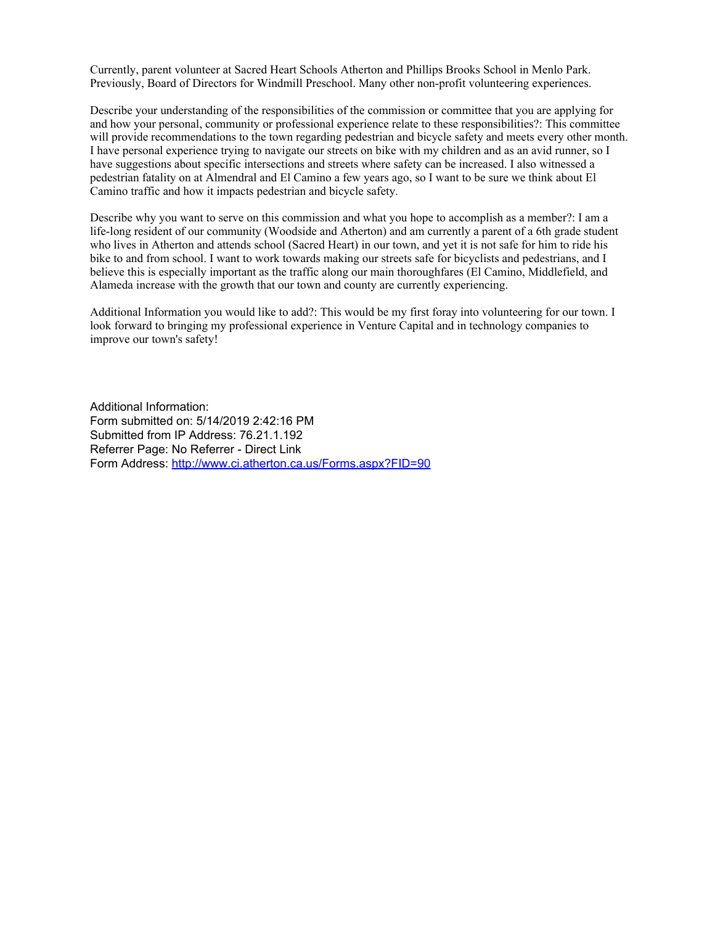Currently, parent volunteer at Sacred Heart Schools Atherton and Phillips Brooks School in Menlo Park. Previously, Board of Directors for Windmill Preschool. Many other non-profit volunteering experiences.

Describe your understanding of the responsibilities of the commission or committee that you are applying for and how your personal, community or professional experience relate to these responsibilities?: This committee will provide recommendations to the town regarding pedestrian and bicycle safety and meets every other month. I have personal experience trying to navigate our streets on bike with my children and as an avid runner, so I have suggestions about specific intersections and streets where safety can be increased. I also witnessed a pedestrian fatality on at Almendral and El Camino a few years ago, so I want to be sure we think about El Camino traffic and how it impacts pedestrian and bicycle safety.

Describe why you want to serve on this commission and what you hope to accomplish as a member?: I am a life-long resident of our community (Woodside and Atherton) and am currently a parent of a 6th grade student who lives in Atherton and attends school (Sacred Heart) in our town, and yet it is not safe for him to ride his bike to and from school. I want to work towards making our streets safe for bicyclists and pedestrians, and I believe this is especially important as the traffic along our main thoroughfares (El Camino, Middlefield, and Alameda increase with the growth that our town and county are currently experiencing.

Additional Information you would like to add?: This would be my first foray into volunteering for our town. I look forward to bringing my professional experience in Venture Capital and in technology companies to improve our town's safety!

Additional Information: Form submitted on: 5/14/2019 2:42:16 PM Submitted from IP Address: 76.21.1.192 Referrer Page: No Referrer - Direct Link Form Address:<http://www.ci.atherton.ca.us/Forms.aspx?FID=90>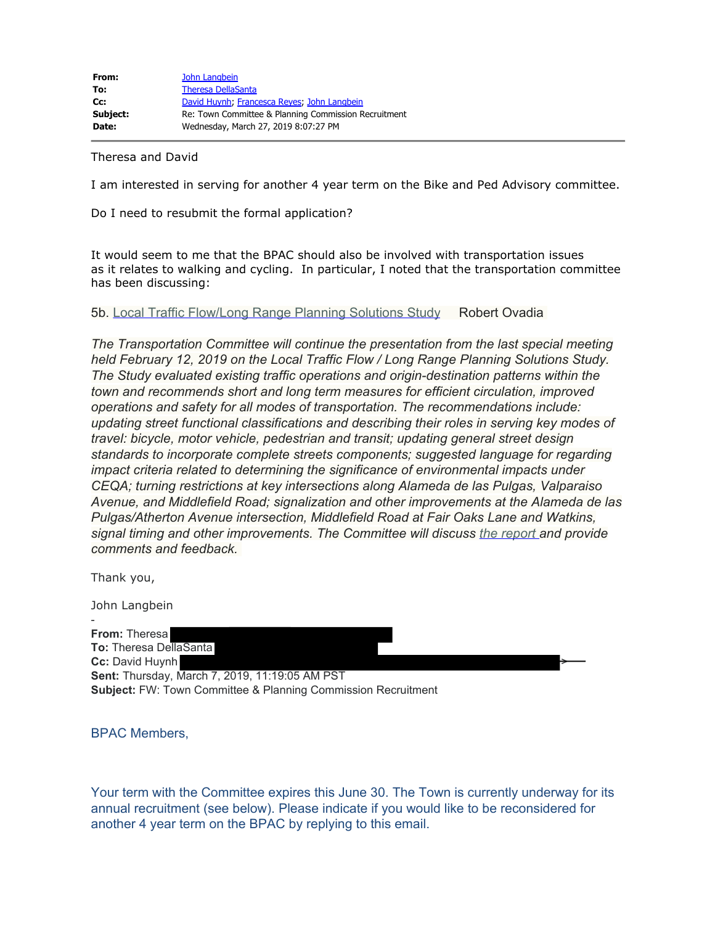Theresa and David

I am interested in serving for another 4 year term on the Bike and Ped Advisory committee.

Do I need to resubmit the formal application?

It would seem to me that the BPAC should also be involved with transportation issues as it relates to walking and cycling. In particular, I noted that the transportation committee has been discussing:

5b. [Local Traffic Flow/Long Range Planning Solutions Study](https://www.ci.atherton.ca.us/DocumentCenter/View/6188/021219-TC-Staff-Report_-Local-Traffic-Flow_Long-Range-Planning-Solutions-Study) Robert Ovadia

*The Transportation Committee will continue the presentation from the last special meeting held February 12, 2019 on the Local Traffic Flow / Long Range Planning Solutions Study. The Study evaluated existing traffic operations and origin-destination patterns within the town and recommends short and long term measures for efficient circulation, improved operations and safety for all modes of transportation. The recommendations include: updating street functional classifications and describing their roles in serving key modes of travel: bicycle, motor vehicle, pedestrian and transit; updating general street design standards to incorporate complete streets components; suggested language for regarding impact criteria related to determining the significance of environmental impacts under CEQA; turning restrictions at key intersections along Alameda de las Pulgas, Valparaiso Avenue, and Middlefield Road; signalization and other improvements at the Alameda de las Pulgas/Atherton Avenue intersection, Middlefield Road at Fair Oaks Lane and Watkins, signal timing and other improvements. The Committee will discuss [the report](https://www.ci.atherton.ca.us/DocumentCenter/View/6189/Report_Jan-01252019) and provide comments and feedback.*

Thank you,

John Langbein

- **From:** Theresa **To:** Theresa DellaSanta **Cc:** David Huynh **Sent:** Thursday, March 7, 2019, 11:19:05 AM PST **Subject:** FW: Town Committee & Planning Commission Recruitment

BPAC Members,

Your term with the Committee expires this June 30. The Town is currently underway for its annual recruitment (see below). Please indicate if you would like to be reconsidered for another 4 year term on the BPAC by replying to this email.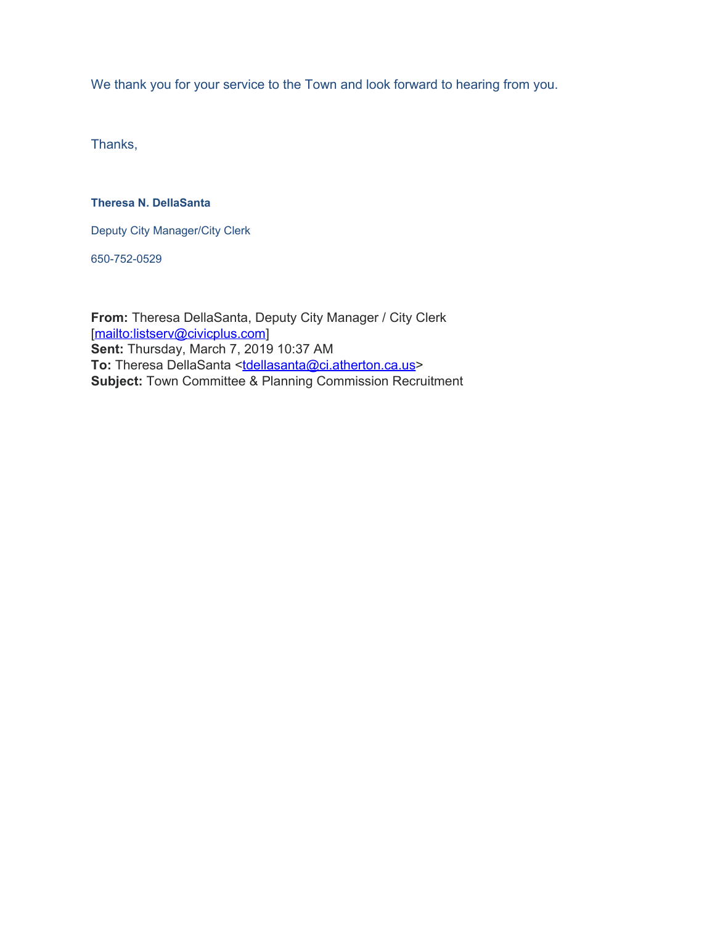We thank you for your service to the Town and look forward to hearing from you.

Thanks,

### **Theresa N. DellaSanta**

Deputy City Manager/City Clerk

650-752-0529

**From:** Theresa DellaSanta, Deputy City Manager / City Clerk [\[mailto:listserv@civicplus.com](mailto:listserv@civicplus.com)] **Sent:** Thursday, March 7, 2019 10:37 AM To: Theresa DellaSanta [<tdellasanta@ci.atherton.ca.us](mailto:tdellasanta@ci.atherton.ca.us)> **Subject:** Town Committee & Planning Commission Recruitment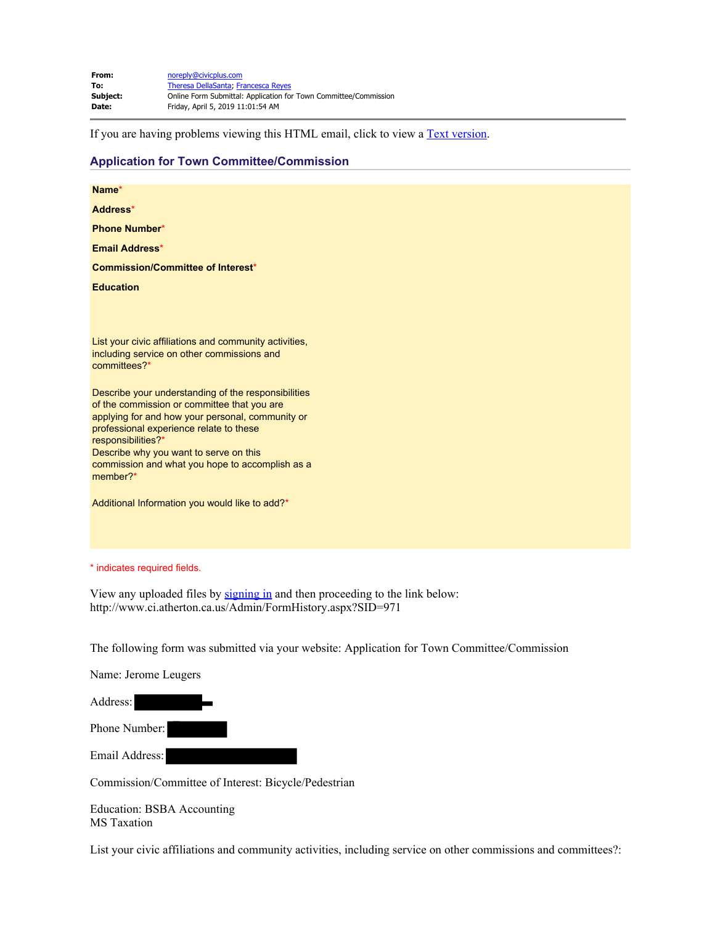| From:    | noreply@civicplus.com                                            |
|----------|------------------------------------------------------------------|
| To:      | Theresa DellaSanta; Francesca Reyes                              |
| Subiect: | Online Form Submittal: Application for Town Committee/Commission |
| Date:    | Friday, April 5, 2019 11:01:54 AM                                |

If you are having problems viewing this HTML email, click to view a **Text version**.

### **Application for Town Committee/Commission**

| Name*                                                                                                                                                                                                                                                                                                                            |
|----------------------------------------------------------------------------------------------------------------------------------------------------------------------------------------------------------------------------------------------------------------------------------------------------------------------------------|
| Address*                                                                                                                                                                                                                                                                                                                         |
| <b>Phone Number*</b>                                                                                                                                                                                                                                                                                                             |
| <b>Email Address*</b>                                                                                                                                                                                                                                                                                                            |
| <b>Commission/Committee of Interest*</b>                                                                                                                                                                                                                                                                                         |
| <b>Education</b>                                                                                                                                                                                                                                                                                                                 |
|                                                                                                                                                                                                                                                                                                                                  |
| List your civic affiliations and community activities,<br>including service on other commissions and<br>committees?*                                                                                                                                                                                                             |
| Describe your understanding of the responsibilities<br>of the commission or committee that you are<br>applying for and how your personal, community or<br>professional experience relate to these<br>responsibilities?*<br>Describe why you want to serve on this<br>commission and what you hope to accomplish as a<br>member?* |
| Additional Information you would like to add?*                                                                                                                                                                                                                                                                                   |
| * indicates required fields.                                                                                                                                                                                                                                                                                                     |

View any uploaded files by [signing in](file:////c/www.ci.atherton.ca.us/MyAccount) and then proceeding to the link below: http://www.ci.atherton.ca.us/Admin/FormHistory.aspx?SID=971

The following form was submitted via your website: Application for Town Committee/Commission

<span id="page-13-0"></span>Name: Jerome Leugers

| Address:       |  |
|----------------|--|
| Phone Number:  |  |
| Email Address: |  |

Commission/Committee of Interest: Bicycle/Pedestrian

Education: BSBA Accounting MS Taxation

List your civic affiliations and community activities, including service on other commissions and committees?: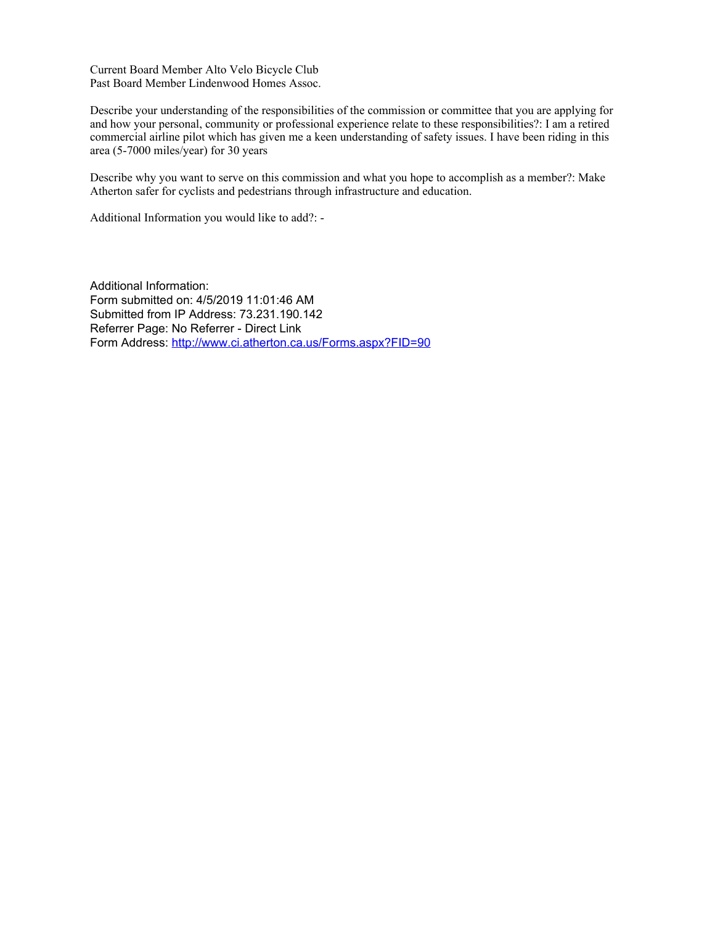Current Board Member Alto Velo Bicycle Club Past Board Member Lindenwood Homes Assoc.

Describe your understanding of the responsibilities of the commission or committee that you are applying for and how your personal, community or professional experience relate to these responsibilities?: I am a retired commercial airline pilot which has given me a keen understanding of safety issues. I have been riding in this area (5-7000 miles/year) for 30 years

Describe why you want to serve on this commission and what you hope to accomplish as a member?: Make Atherton safer for cyclists and pedestrians through infrastructure and education.

Additional Information you would like to add?: -

Additional Information: Form submitted on: 4/5/2019 11:01:46 AM Submitted from IP Address: 73.231.190.142 Referrer Page: No Referrer - Direct Link Form Address:<http://www.ci.atherton.ca.us/Forms.aspx?FID=90>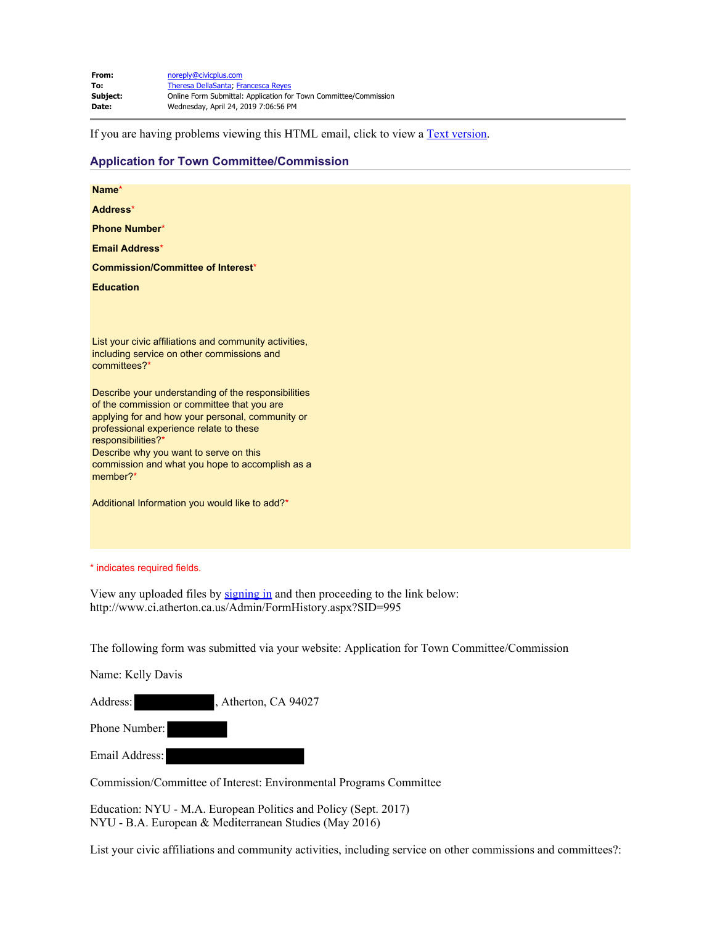| noreply@civicplus.com                                            |
|------------------------------------------------------------------|
| Theresa DellaSanta; Francesca Reyes                              |
| Online Form Submittal: Application for Town Committee/Commission |
| Wednesday, April 24, 2019 7:06:56 PM                             |
|                                                                  |

If you are having problems viewing this HTML email, click to view a **Text version**.

### **Application for Town Committee/Commission**

| Name*                                                                                                                                                                                                                                                                                                                            |
|----------------------------------------------------------------------------------------------------------------------------------------------------------------------------------------------------------------------------------------------------------------------------------------------------------------------------------|
| Address*                                                                                                                                                                                                                                                                                                                         |
| <b>Phone Number*</b>                                                                                                                                                                                                                                                                                                             |
| <b>Email Address*</b>                                                                                                                                                                                                                                                                                                            |
| <b>Commission/Committee of Interest*</b>                                                                                                                                                                                                                                                                                         |
| <b>Education</b>                                                                                                                                                                                                                                                                                                                 |
|                                                                                                                                                                                                                                                                                                                                  |
|                                                                                                                                                                                                                                                                                                                                  |
| List your civic affiliations and community activities,<br>including service on other commissions and<br>committees?*                                                                                                                                                                                                             |
| Describe your understanding of the responsibilities<br>of the commission or committee that you are<br>applying for and how your personal, community or<br>professional experience relate to these<br>responsibilities?*<br>Describe why you want to serve on this<br>commission and what you hope to accomplish as a<br>member?* |
| Additional Information you would like to add?*                                                                                                                                                                                                                                                                                   |
| * indicates required fields.                                                                                                                                                                                                                                                                                                     |
|                                                                                                                                                                                                                                                                                                                                  |

View any uploaded files by [signing in](file:////c/www.ci.atherton.ca.us/MyAccount) and then proceeding to the link below: http://www.ci.atherton.ca.us/Admin/FormHistory.aspx?SID=995

The following form was submitted via your website: Application for Town Committee/Commission

<span id="page-15-0"></span>Name: Kelly Davis

Address: , Atherton, CA 94027

Phone Number: Email Address:

Commission/Committee of Interest: Environmental Programs Committee

Education: NYU - M.A. European Politics and Policy (Sept. 2017) NYU - B.A. European & Mediterranean Studies (May 2016)

List your civic affiliations and community activities, including service on other commissions and committees?: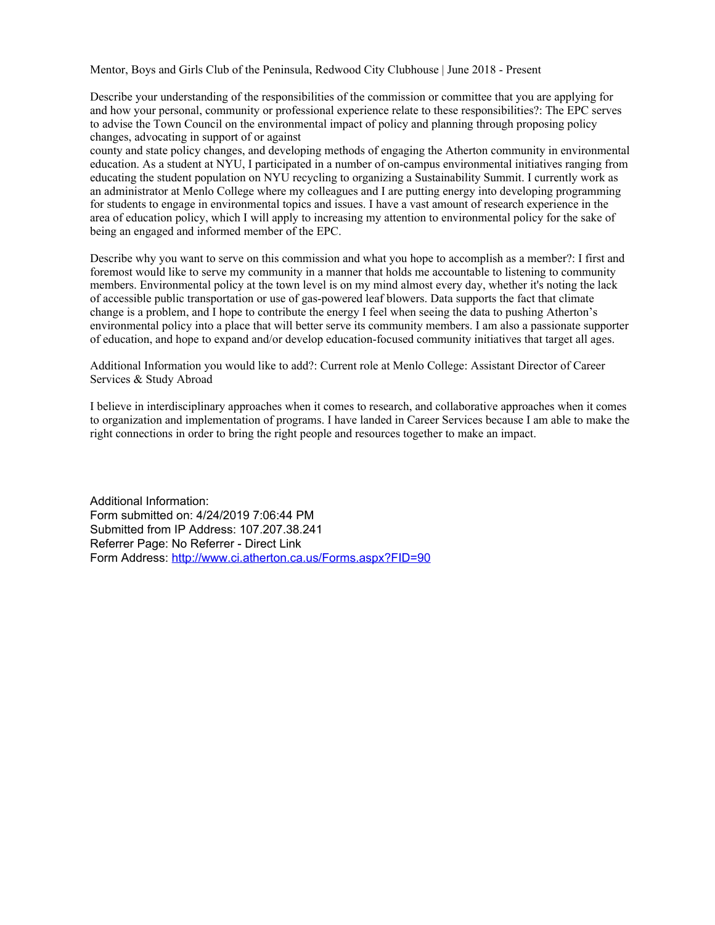Mentor, Boys and Girls Club of the Peninsula, Redwood City Clubhouse | June 2018 - Present

Describe your understanding of the responsibilities of the commission or committee that you are applying for and how your personal, community or professional experience relate to these responsibilities?: The EPC serves to advise the Town Council on the environmental impact of policy and planning through proposing policy changes, advocating in support of or against

county and state policy changes, and developing methods of engaging the Atherton community in environmental education. As a student at NYU, I participated in a number of on-campus environmental initiatives ranging from educating the student population on NYU recycling to organizing a Sustainability Summit. I currently work as an administrator at Menlo College where my colleagues and I are putting energy into developing programming for students to engage in environmental topics and issues. I have a vast amount of research experience in the area of education policy, which I will apply to increasing my attention to environmental policy for the sake of being an engaged and informed member of the EPC.

Describe why you want to serve on this commission and what you hope to accomplish as a member?: I first and foremost would like to serve my community in a manner that holds me accountable to listening to community members. Environmental policy at the town level is on my mind almost every day, whether it's noting the lack of accessible public transportation or use of gas-powered leaf blowers. Data supports the fact that climate change is a problem, and I hope to contribute the energy I feel when seeing the data to pushing Atherton's environmental policy into a place that will better serve its community members. I am also a passionate supporter of education, and hope to expand and/or develop education-focused community initiatives that target all ages.

Additional Information you would like to add?: Current role at Menlo College: Assistant Director of Career Services & Study Abroad

I believe in interdisciplinary approaches when it comes to research, and collaborative approaches when it comes to organization and implementation of programs. I have landed in Career Services because I am able to make the right connections in order to bring the right people and resources together to make an impact.

Additional Information: Form submitted on: 4/24/2019 7:06:44 PM Submitted from IP Address: 107.207.38.241 Referrer Page: No Referrer - Direct Link Form Address:<http://www.ci.atherton.ca.us/Forms.aspx?FID=90>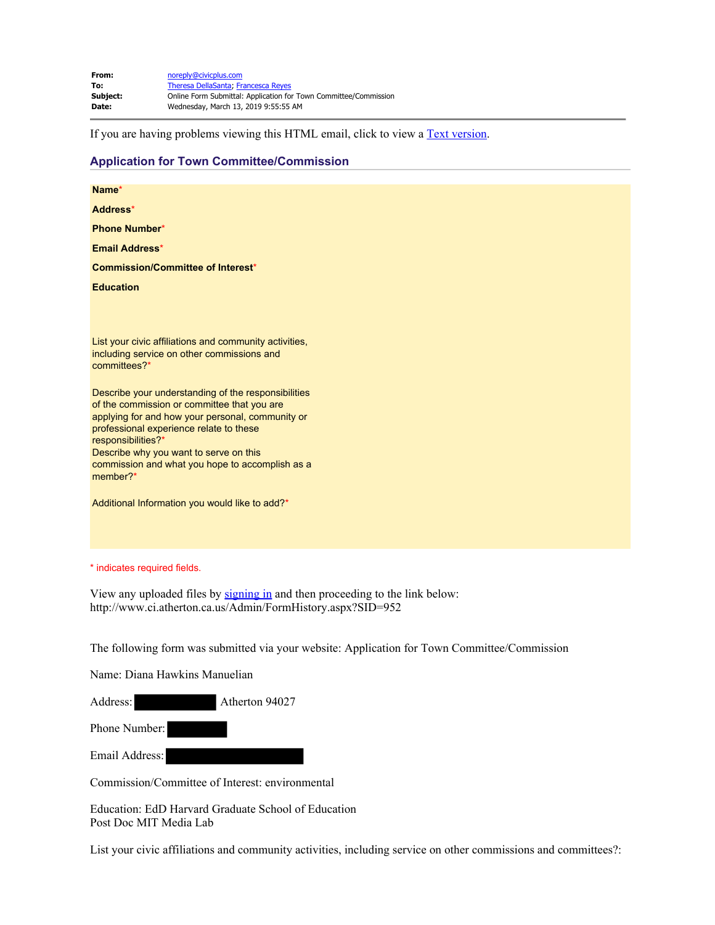| From:           | noreply@civicplus.com                                            |
|-----------------|------------------------------------------------------------------|
| To:             | Theresa DellaSanta; Francesca Reyes                              |
| <b>Subject:</b> | Online Form Submittal: Application for Town Committee/Commission |
| Date:           | Wednesday, March 13, 2019 9:55:55 AM                             |

If you are having problems viewing this HTML email, click to view a [Text version](#page-17-0).

### **Application for Town Committee/Commission**

| Name*                                                                                                                                                                                                                                                                                                                            |  |
|----------------------------------------------------------------------------------------------------------------------------------------------------------------------------------------------------------------------------------------------------------------------------------------------------------------------------------|--|
| Address*                                                                                                                                                                                                                                                                                                                         |  |
| <b>Phone Number*</b>                                                                                                                                                                                                                                                                                                             |  |
| <b>Email Address*</b>                                                                                                                                                                                                                                                                                                            |  |
| <b>Commission/Committee of Interest*</b>                                                                                                                                                                                                                                                                                         |  |
| <b>Education</b>                                                                                                                                                                                                                                                                                                                 |  |
|                                                                                                                                                                                                                                                                                                                                  |  |
| List your civic affiliations and community activities,<br>including service on other commissions and<br>committees?*                                                                                                                                                                                                             |  |
| Describe your understanding of the responsibilities<br>of the commission or committee that you are<br>applying for and how your personal, community or<br>professional experience relate to these<br>responsibilities?*<br>Describe why you want to serve on this<br>commission and what you hope to accomplish as a<br>member?* |  |
| Additional Information you would like to add?*                                                                                                                                                                                                                                                                                   |  |

\* indicates required fields.

View any uploaded files by [signing in](file:////c/www.ci.atherton.ca.us/MyAccount) and then proceeding to the link below: http://www.ci.atherton.ca.us/Admin/FormHistory.aspx?SID=952

The following form was submitted via your website: Application for Town Committee/Commission

<span id="page-17-0"></span>Name: Diana Hawkins Manuelian

Address: Atherton 94027

Phone Number:

Email Address:

Commission/Committee of Interest: environmental

Education: EdD Harvard Graduate School of Education Post Doc MIT Media Lab

List your civic affiliations and community activities, including service on other commissions and committees?: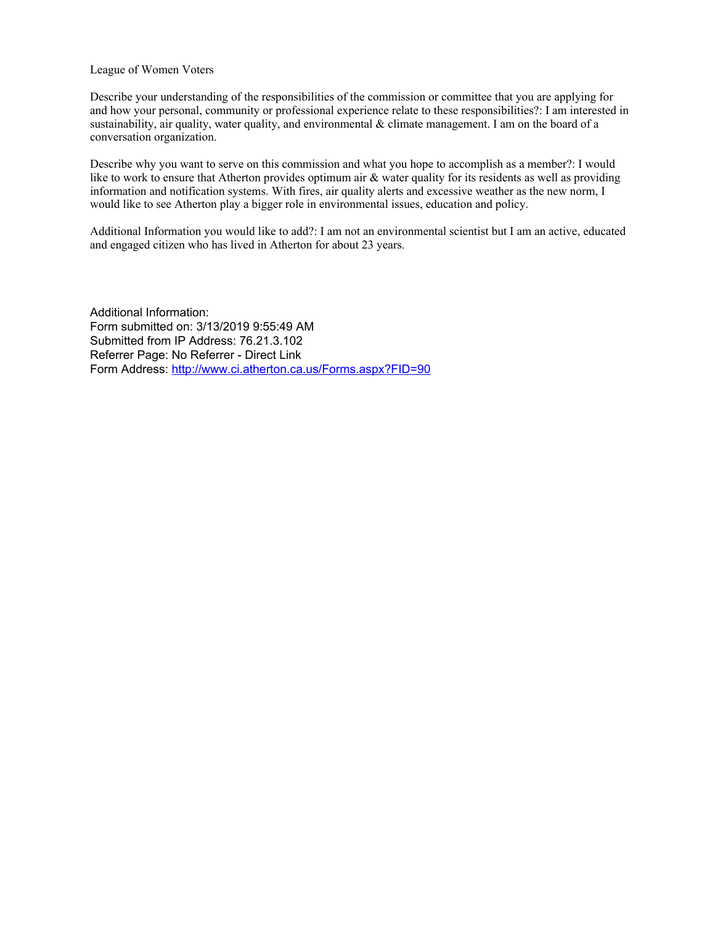#### League of Women Voters

Describe your understanding of the responsibilities of the commission or committee that you are applying for and how your personal, community or professional experience relate to these responsibilities?: I am interested in sustainability, air quality, water quality, and environmental & climate management. I am on the board of a conversation organization.

Describe why you want to serve on this commission and what you hope to accomplish as a member?: I would like to work to ensure that Atherton provides optimum air & water quality for its residents as well as providing information and notification systems. With fires, air quality alerts and excessive weather as the new norm, I would like to see Atherton play a bigger role in environmental issues, education and policy.

Additional Information you would like to add?: I am not an environmental scientist but I am an active, educated and engaged citizen who has lived in Atherton for about 23 years.

Additional Information: Form submitted on: 3/13/2019 9:55:49 AM Submitted from IP Address: 76.21.3.102 Referrer Page: No Referrer - Direct Link Form Address:<http://www.ci.atherton.ca.us/Forms.aspx?FID=90>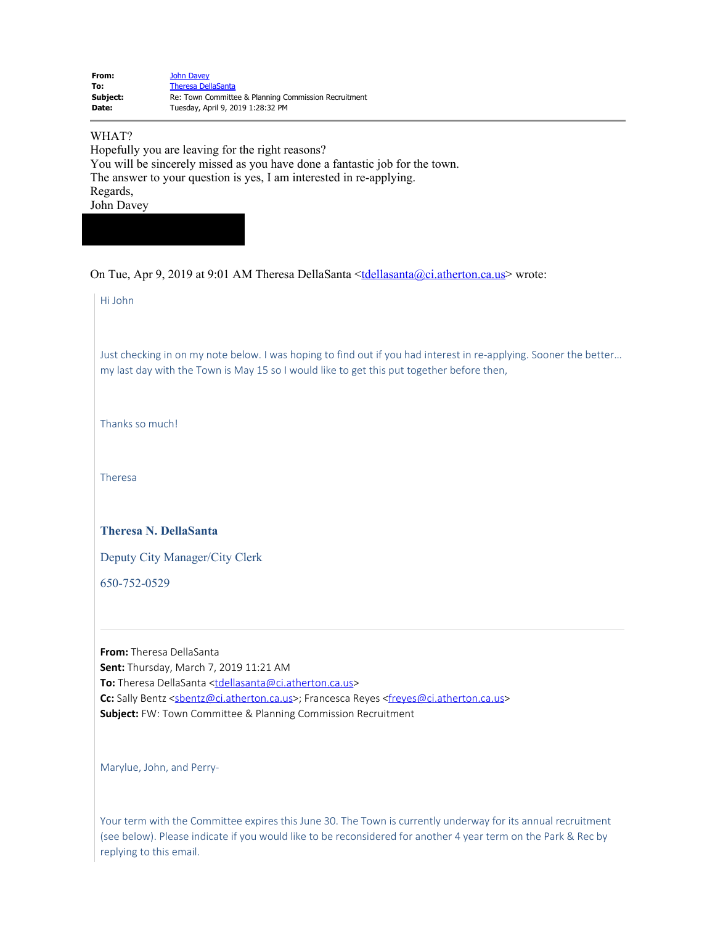| From:    | <b>John Davey</b>                                    |
|----------|------------------------------------------------------|
| To:      | <b>Theresa DellaSanta</b>                            |
| Subject: | Re: Town Committee & Planning Commission Recruitment |
| Date:    | Tuesday, April 9, 2019 1:28:32 PM                    |

### WHAT?

Hopefully you are leaving for the right reasons? You will be sincerely missed as you have done a fantastic job for the town. The answer to your question is yes, I am interested in re-applying. Regards, John Davey

On Tue, Apr 9, 2019 at 9:01 AM Theresa DellaSanta [<tdellasanta@ci.atherton.ca.us](mailto:tdellasanta@ci.atherton.ca.us)> wrote:

Hi John

Just checking in on my note below. I was hoping to find out if you had interest in re-applying. Sooner the better… my last day with the Town is May 15 so I would like to get this put together before then,

Thanks so much!

Theresa

#### **Theresa N. DellaSanta**

Deputy City Manager/City Clerk

650-752-0529

**From:** Theresa DellaSanta **Sent:** Thursday, March 7, 2019 11:21 AM To: Theresa DellaSanta <[tdellasanta@ci.atherton.ca.us](mailto:tdellasanta@ci.atherton.ca.us)> Cc: Sally Bentz <[sbentz@ci.atherton.ca.us>](mailto:sbentz@ci.atherton.ca.us); Francesca Reyes <[freyes@ci.atherton.ca.us](mailto:freyes@ci.atherton.ca.us)> **Subject:** FW: Town Committee & Planning Commission Recruitment

Marylue, John, and Perry-

Your term with the Committee expires this June 30. The Town is currently underway for its annual recruitment (see below). Please indicate if you would like to be reconsidered for another 4 year term on the Park & Rec by replying to this email.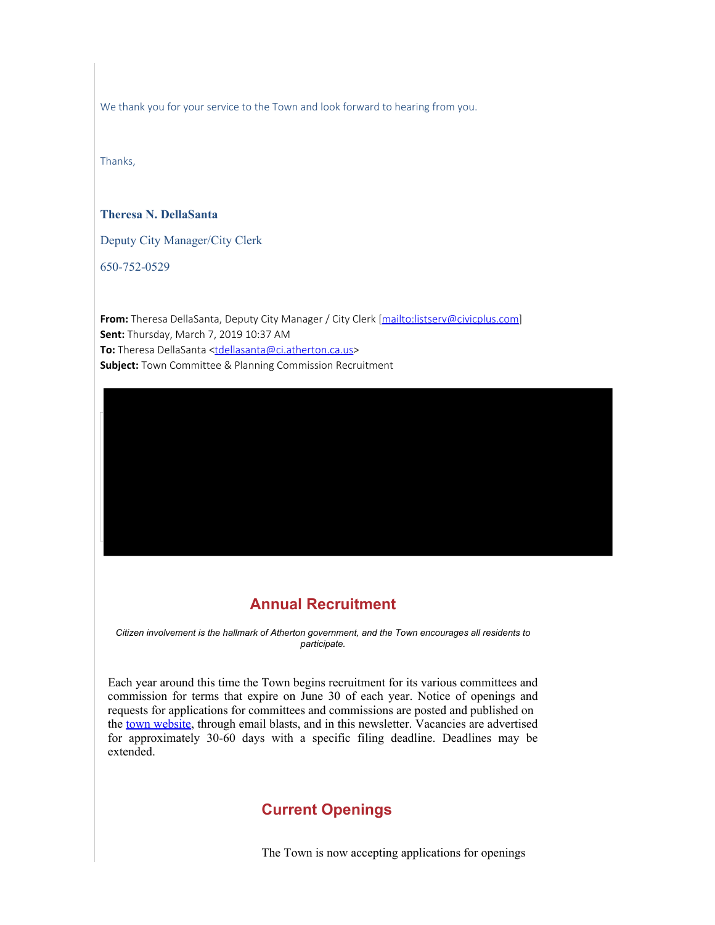We thank you for your service to the Town and look forward to hearing from you.

Thanks,

### **Theresa N. DellaSanta**

Deputy City Manager/City Clerk

650-752-0529

**From:** Theresa DellaSanta, Deputy City Manager / City Clerk [\[mailto:listserv@civicplus.com](mailto:listserv@civicplus.com)] **Sent:** Thursday, March 7, 2019 10:37 AM To: Theresa DellaSanta <[tdellasanta@ci.atherton.ca.us](mailto:tdellasanta@ci.atherton.ca.us)> **Subject:** Town Committee & Planning Commission Recruitment

## **Annual Recruitment**

*Citizen involvement is the hallmark of Atherton government, and the Town encourages all residents to participate.*

Each year around this time the Town begins recruitment for its various committees and commission for terms that expire on June 30 of each year. Notice of openings and requests for applications for committees and commissions are posted and published on the town [website](https://www.ci.atherton.ca.us/138/Committees-Commissions), through email blasts, and in this newsletter. Vacancies are advertised for approximately 30-60 days with a specific filing deadline. Deadlines may be extended.

## **Current Openings**

The Town is now accepting applications for openings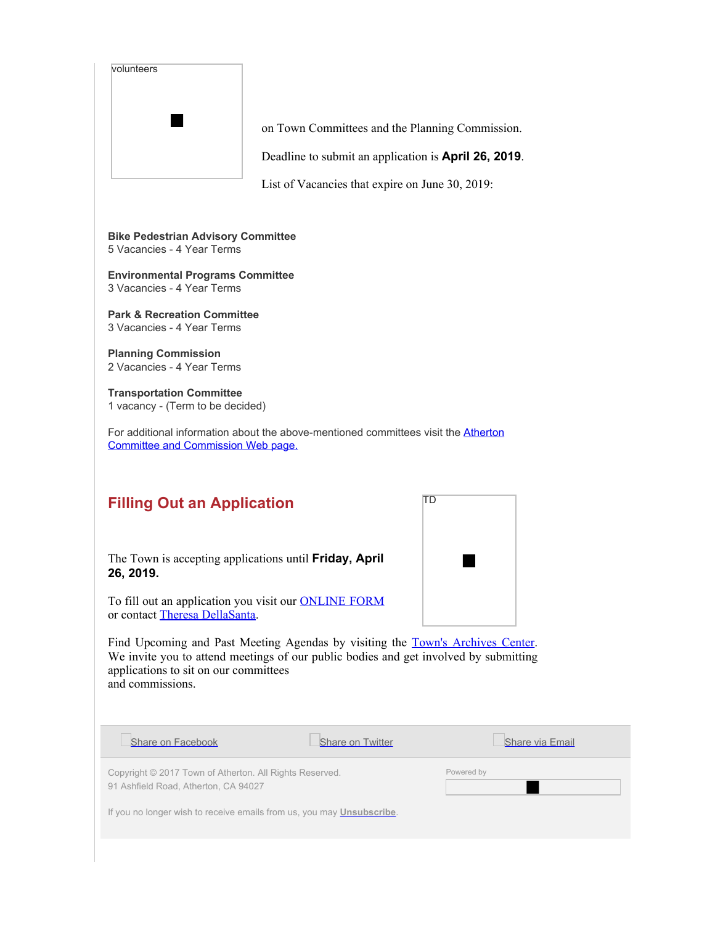| volunteers                                                                                      |                                                                                                                                                                        |                 |
|-------------------------------------------------------------------------------------------------|------------------------------------------------------------------------------------------------------------------------------------------------------------------------|-----------------|
|                                                                                                 | on Town Committees and the Planning Commission.                                                                                                                        |                 |
|                                                                                                 | Deadline to submit an application is April 26, 2019.                                                                                                                   |                 |
|                                                                                                 | List of Vacancies that expire on June 30, 2019:                                                                                                                        |                 |
| <b>Bike Pedestrian Advisory Committee</b><br>5 Vacancies - 4 Year Terms                         |                                                                                                                                                                        |                 |
| <b>Environmental Programs Committee</b><br>3 Vacancies - 4 Year Terms                           |                                                                                                                                                                        |                 |
| <b>Park &amp; Recreation Committee</b><br>3 Vacancies - 4 Year Terms                            |                                                                                                                                                                        |                 |
| <b>Planning Commission</b><br>2 Vacancies - 4 Year Terms                                        |                                                                                                                                                                        |                 |
| <b>Transportation Committee</b><br>1 vacancy - (Term to be decided)                             |                                                                                                                                                                        |                 |
| <b>Committee and Commission Web page.</b>                                                       | For additional information about the above-mentioned committees visit the Atherton                                                                                     |                 |
| <b>Filling Out an Application</b>                                                               |                                                                                                                                                                        | ΠD              |
| The Town is accepting applications until Friday, April<br>26, 2019.                             |                                                                                                                                                                        |                 |
| or contact Theresa DellaSanta.                                                                  | To fill out an application you visit our <b>ONLINE FORM</b>                                                                                                            |                 |
| applications to sit on our committees<br>and commissions.                                       | Find Upcoming and Past Meeting Agendas by visiting the Town's Archives Center.<br>We invite you to attend meetings of our public bodies and get involved by submitting |                 |
| Share on Facebook                                                                               | Share on Twitter                                                                                                                                                       | Share via Email |
| Copyright © 2017 Town of Atherton. All Rights Reserved.<br>91 Ashfield Road, Atherton, CA 94027 |                                                                                                                                                                        | Powered by      |
|                                                                                                 | If you no longer wish to receive emails from us, you may <b>Unsubscribe</b> .                                                                                          |                 |
|                                                                                                 |                                                                                                                                                                        |                 |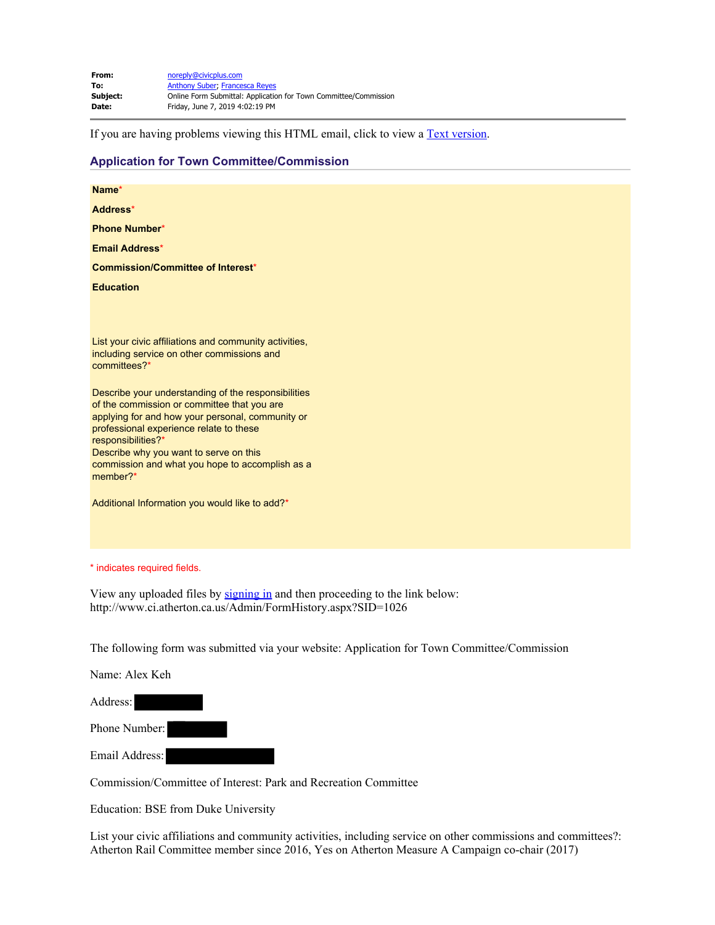| From:    | noreply@civicplus.com                                            |
|----------|------------------------------------------------------------------|
| To:      | <b>Anthony Suber: Francesca Reyes</b>                            |
| Subject: | Online Form Submittal: Application for Town Committee/Commission |
| Date:    | Friday, June 7, 2019 4:02:19 PM                                  |

If you are having problems viewing this HTML email, click to view a [Text version](#page-22-0).

### **Application for Town Committee/Commission**

| Name*                                                                                                                                                                                                                                                                                                                |
|----------------------------------------------------------------------------------------------------------------------------------------------------------------------------------------------------------------------------------------------------------------------------------------------------------------------|
| Address*                                                                                                                                                                                                                                                                                                             |
| <b>Phone Number*</b>                                                                                                                                                                                                                                                                                                 |
| <b>Email Address*</b>                                                                                                                                                                                                                                                                                                |
| <b>Commission/Committee of Interest*</b>                                                                                                                                                                                                                                                                             |
| <b>Education</b>                                                                                                                                                                                                                                                                                                     |
|                                                                                                                                                                                                                                                                                                                      |
|                                                                                                                                                                                                                                                                                                                      |
| List your civic affiliations and community activities,<br>including service on other commissions and<br>committees?*                                                                                                                                                                                                 |
| Describe your understanding of the responsibilities<br>of the commission or committee that you are<br>applying for and how your personal, community or<br>professional experience relate to these<br>responsibilities?*<br>Describe why you want to serve on this<br>commission and what you hope to accomplish as a |
| member?*                                                                                                                                                                                                                                                                                                             |
| Additional Information you would like to add?*                                                                                                                                                                                                                                                                       |
|                                                                                                                                                                                                                                                                                                                      |
|                                                                                                                                                                                                                                                                                                                      |
| * indicates required fields.                                                                                                                                                                                                                                                                                         |

View any uploaded files by [signing in](file:////c/www.ci.atherton.ca.us/MyAccount) and then proceeding to the link below: http://www.ci.atherton.ca.us/Admin/FormHistory.aspx?SID=1026

The following form was submitted via your website: Application for Town Committee/Commission

<span id="page-22-0"></span>Name: Alex Keh

Address: Phone Number: Email Address:

Commission/Committee of Interest: Park and Recreation Committee

Education: BSE from Duke University

List your civic affiliations and community activities, including service on other commissions and committees?: Atherton Rail Committee member since 2016, Yes on Atherton Measure A Campaign co-chair (2017)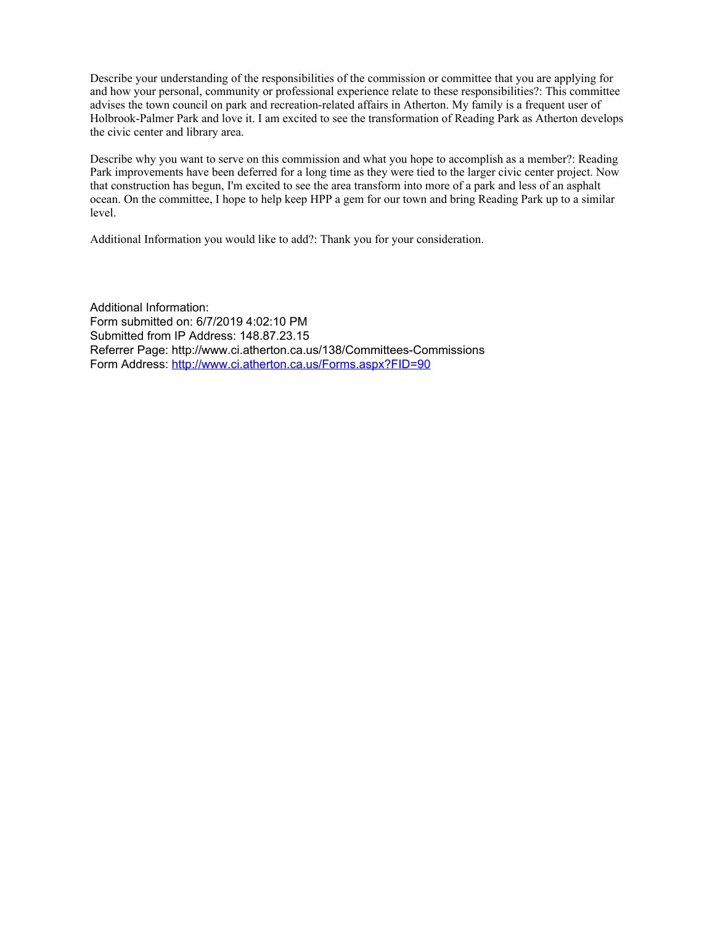Describe your understanding of the responsibilities of the commission or committee that you are applying for and how your personal, community or professional experience relate to these responsibilities?: This committee advises the town council on park and recreation-related affairs in Atherton. My family is a frequent user of Holbrook-Palmer Park and love it. I am excited to see the transformation of Reading Park as Atherton develops the civic center and library area.

Describe why you want to serve on this commission and what you hope to accomplish as a member?: Reading Park improvements have been deferred for a long time as they were tied to the larger civic center project. Now that construction has begun, I'm excited to see the area transform into more of a park and less of an asphalt ocean. On the committee, I hope to help keep HPP a gem for our town and bring Reading Park up to a similar level.

Additional Information you would like to add?: Thank you for your consideration.

Additional Information: Form submitted on: 6/7/2019 4:02:10 PM Submitted from IP Address: 148.87.23.15 Referrer Page: http://www.ci.atherton.ca.us/138/Committees-Commissions Form Address:<http://www.ci.atherton.ca.us/Forms.aspx?FID=90>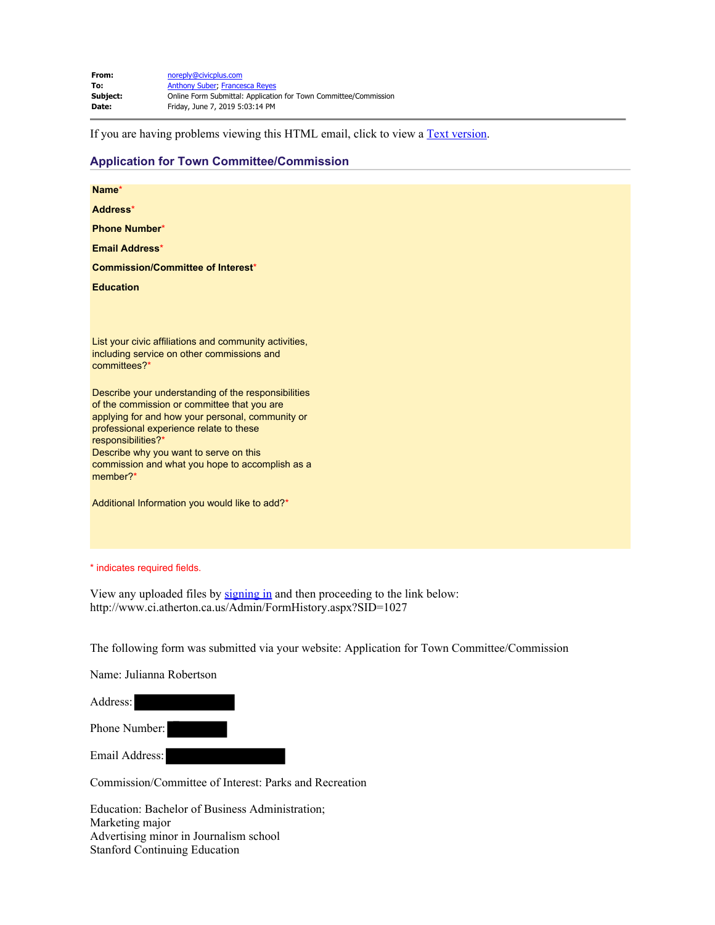| From:    | noreply@civicplus.com                                            |
|----------|------------------------------------------------------------------|
| To:      | <b>Anthony Suber: Francesca Reyes</b>                            |
| Subject: | Online Form Submittal: Application for Town Committee/Commission |
| Date:    | Friday, June 7, 2019 5:03:14 PM                                  |

If you are having problems viewing this HTML email, click to view a [Text version](#page-24-0).

### **Application for Town Committee/Commission**

| Name*                                                                                                                                                                                                                                                                                                                                |  |
|--------------------------------------------------------------------------------------------------------------------------------------------------------------------------------------------------------------------------------------------------------------------------------------------------------------------------------------|--|
| Address*                                                                                                                                                                                                                                                                                                                             |  |
| <b>Phone Number*</b>                                                                                                                                                                                                                                                                                                                 |  |
| Email Address*                                                                                                                                                                                                                                                                                                                       |  |
| <b>Commission/Committee of Interest*</b>                                                                                                                                                                                                                                                                                             |  |
| <b>Education</b>                                                                                                                                                                                                                                                                                                                     |  |
|                                                                                                                                                                                                                                                                                                                                      |  |
| List your civic affiliations and community activities,<br>including service on other commissions and<br>committees?*                                                                                                                                                                                                                 |  |
| Describe your understanding of the responsibilities<br>of the commission or committee that you are<br>applying for and how your personal, community or<br>professional experience relate to these<br>responsibilities?*<br>Describe why you want to serve on this<br>commission and what you hope to accomplish as a<br>member $2^*$ |  |
| Additional Information you would like to add?*                                                                                                                                                                                                                                                                                       |  |

\* indicates required fields.

View any uploaded files by [signing in](file:////c/www.ci.atherton.ca.us/MyAccount) and then proceeding to the link below: http://www.ci.atherton.ca.us/Admin/FormHistory.aspx?SID=1027

The following form was submitted via your website: Application for Town Committee/Commission

<span id="page-24-0"></span>Name: Julianna Robertson

| Address:       |  |
|----------------|--|
| Phone Number:  |  |
| Email Address: |  |

Commission/Committee of Interest: Parks and Recreation

Education: Bachelor of Business Administration; Marketing major Advertising minor in Journalism school Stanford Continuing Education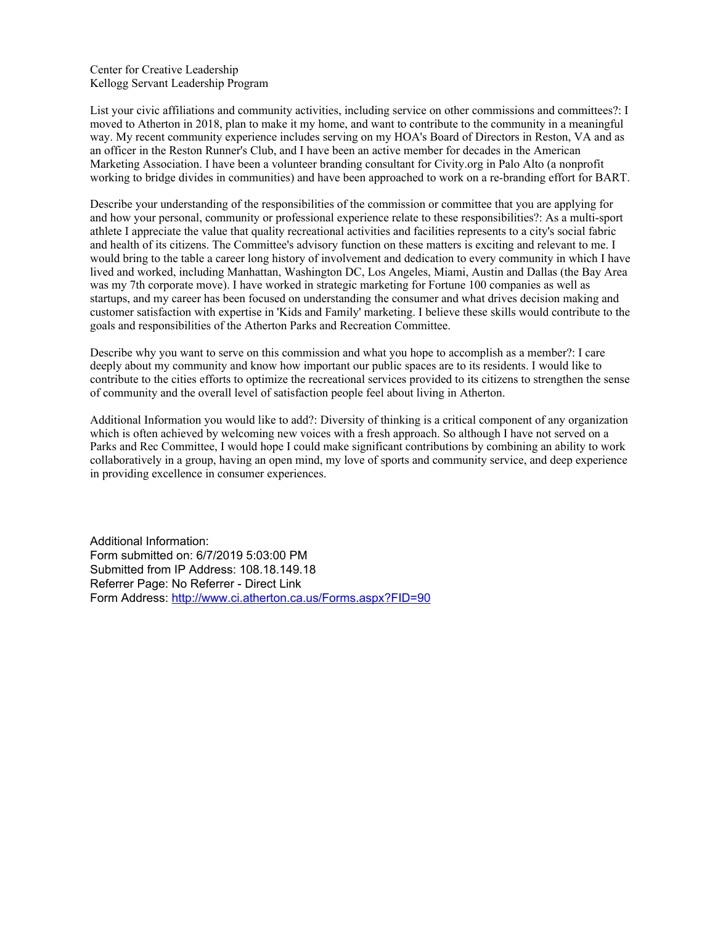Center for Creative Leadership Kellogg Servant Leadership Program

List your civic affiliations and community activities, including service on other commissions and committees?: I moved to Atherton in 2018, plan to make it my home, and want to contribute to the community in a meaningful way. My recent community experience includes serving on my HOA's Board of Directors in Reston, VA and as an officer in the Reston Runner's Club, and I have been an active member for decades in the American Marketing Association. I have been a volunteer branding consultant for Civity.org in Palo Alto (a nonprofit working to bridge divides in communities) and have been approached to work on a re-branding effort for BART.

Describe your understanding of the responsibilities of the commission or committee that you are applying for and how your personal, community or professional experience relate to these responsibilities?: As a multi-sport athlete I appreciate the value that quality recreational activities and facilities represents to a city's social fabric and health of its citizens. The Committee's advisory function on these matters is exciting and relevant to me. I would bring to the table a career long history of involvement and dedication to every community in which I have lived and worked, including Manhattan, Washington DC, Los Angeles, Miami, Austin and Dallas (the Bay Area was my 7th corporate move). I have worked in strategic marketing for Fortune 100 companies as well as startups, and my career has been focused on understanding the consumer and what drives decision making and customer satisfaction with expertise in 'Kids and Family' marketing. I believe these skills would contribute to the goals and responsibilities of the Atherton Parks and Recreation Committee.

Describe why you want to serve on this commission and what you hope to accomplish as a member?: I care deeply about my community and know how important our public spaces are to its residents. I would like to contribute to the cities efforts to optimize the recreational services provided to its citizens to strengthen the sense of community and the overall level of satisfaction people feel about living in Atherton.

Additional Information you would like to add?: Diversity of thinking is a critical component of any organization which is often achieved by welcoming new voices with a fresh approach. So although I have not served on a Parks and Rec Committee, I would hope I could make significant contributions by combining an ability to work collaboratively in a group, having an open mind, my love of sports and community service, and deep experience in providing excellence in consumer experiences.

Additional Information: Form submitted on: 6/7/2019 5:03:00 PM Submitted from IP Address: 108.18.149.18 Referrer Page: No Referrer - Direct Link Form Address:<http://www.ci.atherton.ca.us/Forms.aspx?FID=90>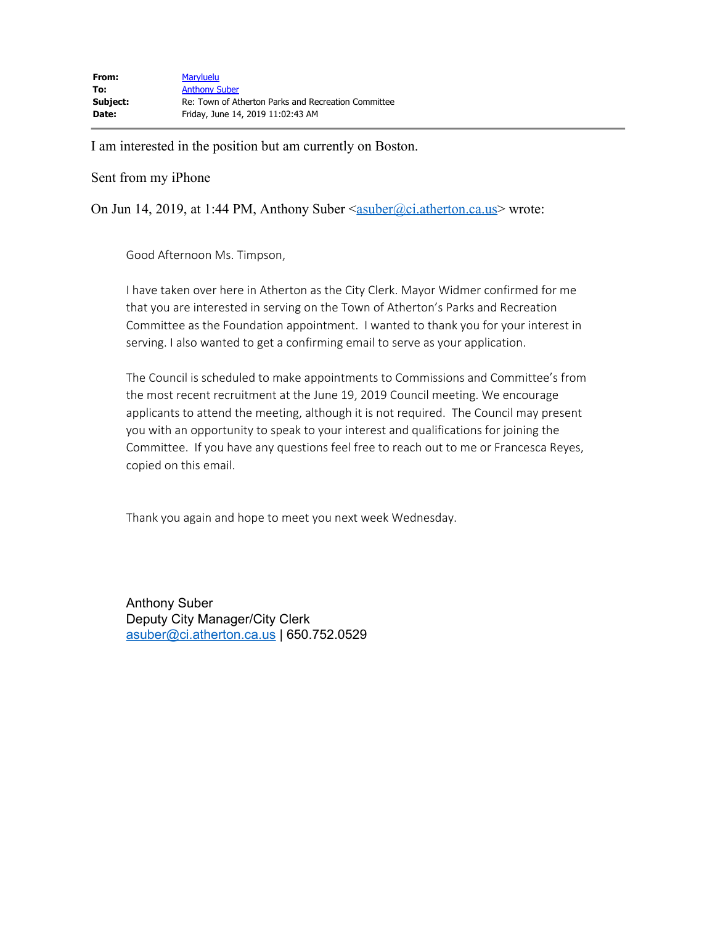I am interested in the position but am currently on Boston.

### Sent from my iPhone

On Jun 14, 2019, at 1:44 PM, Anthony Suber <**asuber**@ci.atherton.ca.us> wrote:

Good Afternoon Ms. Timpson,

I have taken over here in Atherton as the City Clerk. Mayor Widmer confirmed for me that you are interested in serving on the Town of Atherton's Parks and Recreation Committee as the Foundation appointment. I wanted to thank you for your interest in serving. I also wanted to get a confirming email to serve as your application.

The Council is scheduled to make appointments to Commissions and Committee's from the most recent recruitment at the June 19, 2019 Council meeting. We encourage applicants to attend the meeting, although it is not required. The Council may present you with an opportunity to speak to your interest and qualifications for joining the Committee. If you have any questions feel free to reach out to me or Francesca Reyes, copied on this email.

Thank you again and hope to meet you next week Wednesday.

Anthony Suber Deputy City Manager/City Clerk [asuber@ci.atherton.ca.us](mailto:asuber@ci.atherton.ca.us) | 650.752.0529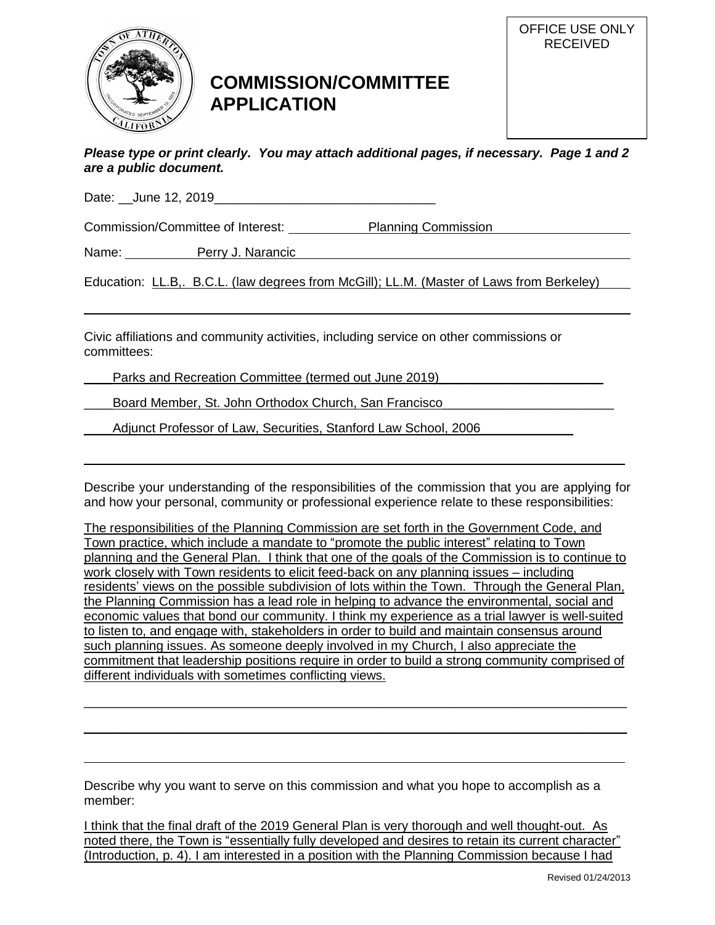

## **COMMISSION/COMMITTEE APPLICATION**

### *Please type or print clearly. You may attach additional pages, if necessary. Page 1 and 2 are a public document.*

Date: June 12, 2019

Commission/Committee of Interest: Planning Commission

Name: Perry J. Narancic

Education: LL.B,. B.C.L. (law degrees from McGill); LL.M. (Master of Laws from Berkeley)

Civic affiliations and community activities, including service on other commissions or committees:

Parks and Recreation Committee (termed out June 2019)

Board Member, St. John Orthodox Church, San Francisco

Adjunct Professor of Law, Securities, Stanford Law School, 2006

Describe your understanding of the responsibilities of the commission that you are applying for and how your personal, community or professional experience relate to these responsibilities:

The responsibilities of the Planning Commission are set forth in the Government Code, and Town practice, which include a mandate to "promote the public interest" relating to Town planning and the General Plan. I think that one of the goals of the Commission is to continue to work closely with Town residents to elicit feed-back on any planning issues – including residents' views on the possible subdivision of lots within the Town. Through the General Plan, the Planning Commission has a lead role in helping to advance the environmental, social and economic values that bond our community. I think my experience as a trial lawyer is well-suited to listen to, and engage with, stakeholders in order to build and maintain consensus around such planning issues. As someone deeply involved in my Church, I also appreciate the commitment that leadership positions require in order to build a strong community comprised of different individuals with sometimes conflicting views.

\_\_\_\_\_\_\_\_\_\_\_\_\_\_\_\_\_\_\_\_\_\_\_\_\_\_\_\_\_\_\_\_\_\_\_\_\_\_\_\_\_\_\_\_\_\_\_\_\_\_\_\_\_\_\_\_\_\_\_\_\_\_\_\_\_\_\_\_\_\_\_\_\_\_\_\_

\_\_\_\_\_\_\_\_\_\_\_\_\_\_\_\_\_\_\_\_\_\_\_\_\_\_\_\_\_\_\_\_\_\_\_\_\_\_\_\_\_\_\_\_\_\_\_\_\_\_\_\_\_\_\_\_\_\_\_\_\_\_\_\_\_\_\_\_\_\_\_\_\_\_\_\_

Describe why you want to serve on this commission and what you hope to accomplish as a member:

I think that the final draft of the 2019 General Plan is very thorough and well thought-out. As noted there, the Town is "essentially fully developed and desires to retain its current character" (Introduction, p. 4). I am interested in a position with the Planning Commission because I had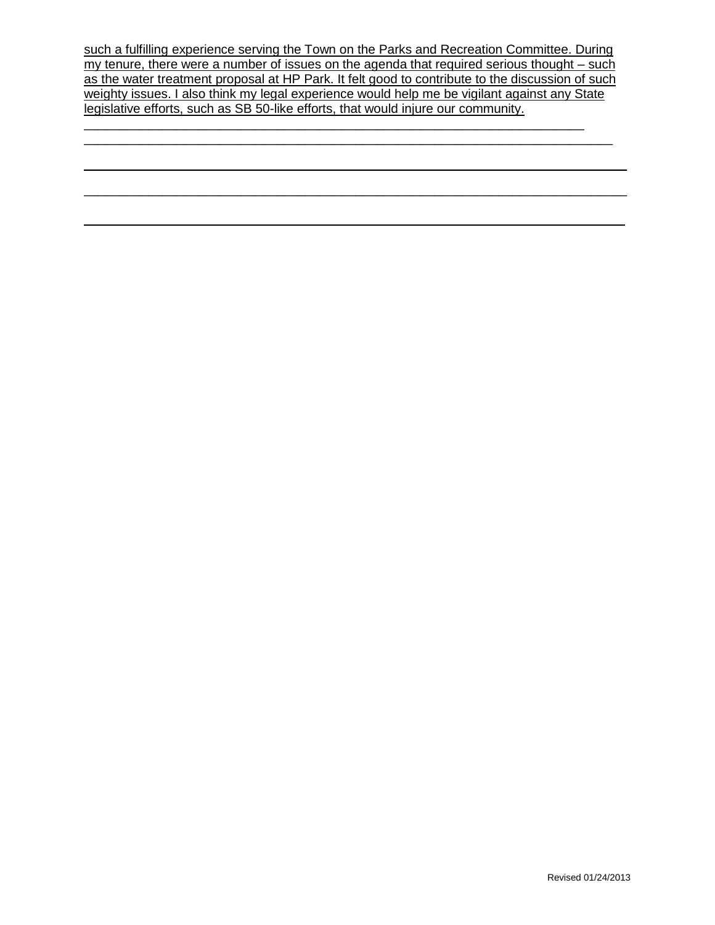such a fulfilling experience serving the Town on the Parks and Recreation Committee. During my tenure, there were a number of issues on the agenda that required serious thought – such as the water treatment proposal at HP Park. It felt good to contribute to the discussion of such weighty issues. I also think my legal experience would help me be vigilant against any State legislative efforts, such as SB 50-like efforts, that would injure our community.

\_\_\_\_\_\_\_\_\_\_\_\_\_\_\_\_\_\_\_\_\_\_\_\_\_\_\_\_\_\_\_\_\_\_\_\_\_\_\_\_\_\_\_\_\_\_\_\_\_\_\_\_\_\_\_\_\_\_\_\_\_\_\_\_\_\_\_\_\_\_\_\_\_\_\_\_

 $\mathcal{L}_\mathcal{L} = \mathcal{L}_\mathcal{L} = \mathcal{L}_\mathcal{L} = \mathcal{L}_\mathcal{L} = \mathcal{L}_\mathcal{L} = \mathcal{L}_\mathcal{L} = \mathcal{L}_\mathcal{L} = \mathcal{L}_\mathcal{L} = \mathcal{L}_\mathcal{L} = \mathcal{L}_\mathcal{L} = \mathcal{L}_\mathcal{L} = \mathcal{L}_\mathcal{L} = \mathcal{L}_\mathcal{L} = \mathcal{L}_\mathcal{L} = \mathcal{L}_\mathcal{L} = \mathcal{L}_\mathcal{L} = \mathcal{L}_\mathcal{L}$ 

\_\_\_\_\_\_\_\_\_\_\_\_\_\_\_\_\_\_\_\_\_\_\_\_\_\_\_\_\_\_\_\_\_\_\_\_\_\_\_\_\_\_\_\_\_\_\_\_\_\_\_\_\_\_\_\_\_\_\_\_\_\_\_\_\_\_\_\_\_\_ \_\_\_\_\_\_\_\_\_\_\_\_\_\_\_\_\_\_\_\_\_\_\_\_\_\_\_\_\_\_\_\_\_\_\_\_\_\_\_\_\_\_\_\_\_\_\_\_\_\_\_\_\_\_\_\_\_\_\_\_\_\_\_\_\_\_\_\_\_\_\_\_\_\_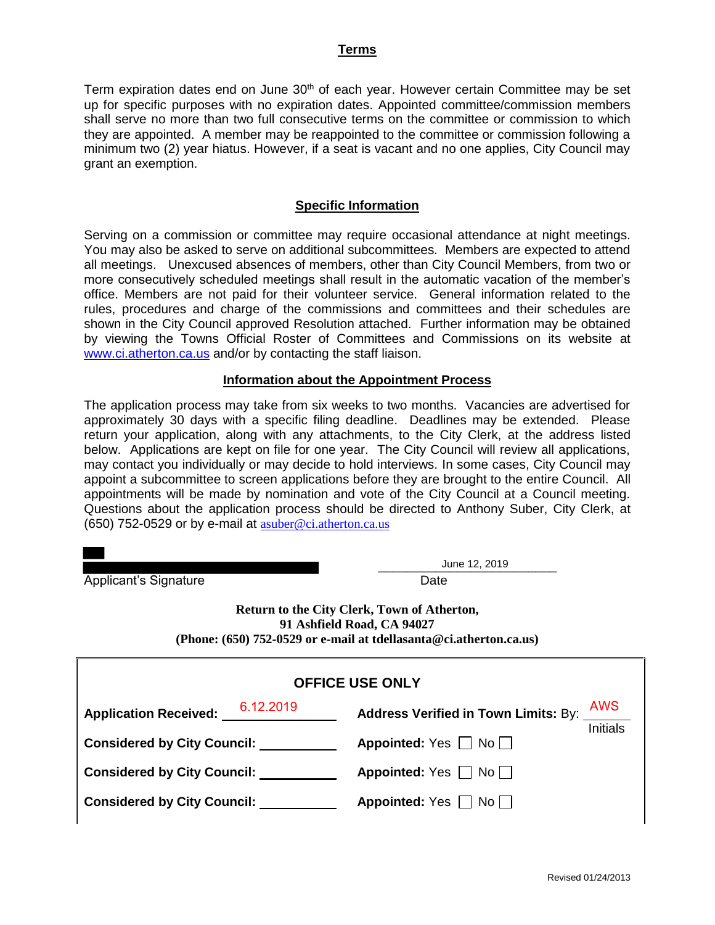### **Terms**

Term expiration dates end on June 30<sup>th</sup> of each year. However certain Committee may be set up for specific purposes with no expiration dates. Appointed committee/commission members shall serve no more than two full consecutive terms on the committee or commission to which they are appointed. A member may be reappointed to the committee or commission following a minimum two (2) year hiatus. However, if a seat is vacant and no one applies, City Council may grant an exemption.

### **Specific Information**

Serving on a commission or committee may require occasional attendance at night meetings. You may also be asked to serve on additional subcommittees. Members are expected to attend all meetings. Unexcused absences of members, other than City Council Members, from two or more consecutively scheduled meetings shall result in the automatic vacation of the member's office. Members are not paid for their volunteer service. General information related to the rules, procedures and charge of the commissions and committees and their schedules are shown in the City Council approved Resolution attached. Further information may be obtained by viewing the Towns Official Roster of Committees and Commissions on its website at [www.ci.atherton.ca.us](http://www.ci.atherton.ca.us/) and/or by contacting the staff liaison.

### **Information about the Appointment Process**

The application process may take from six weeks to two months. Vacancies are advertised for approximately 30 days with a specific filing deadline. Deadlines may be extended. Please return your application, along with any attachments, to the City Clerk, at the address listed below. Applications are kept on file for one year. The City Council will review all applications, may contact you individually or may decide to hold interviews. In some cases, City Council may appoint a subcommittee to screen applications before they are brought to the entire Council. All appointments will be made by nomination and vote of the City Council at a Council meeting. Questions about the application process should be directed to Anthony Suber, City Clerk, at (650) 752-0529 or by e-mail at [asuber@ci.atherton.ca.us](mailto:asuber@ci.atherton.ca.us)

| <b>Applicant's Signature</b>                                                                                                                    | June 12, 2019<br>Date                                                 |  |
|-------------------------------------------------------------------------------------------------------------------------------------------------|-----------------------------------------------------------------------|--|
| Return to the City Clerk, Town of Atherton,<br>91 Ashfield Road, CA 94027<br>(Phone: (650) 752-0529 or e-mail at tdellasanta@ci.atherton.ca.us) |                                                                       |  |
| <b>OFFICE USE ONLY</b>                                                                                                                          |                                                                       |  |
| 6.12.2019<br><b>Application Received:</b>                                                                                                       | <b>AWS</b><br>Address Verified in Town Limits: By:<br><b>Initials</b> |  |
| <b>Considered by City Council:</b>                                                                                                              | Appointed: Yes $\Box$ No $\Box$                                       |  |
| <b>Considered by City Council:</b>                                                                                                              | Appointed: Yes   No                                                   |  |
| <b>Considered by City Council:</b>                                                                                                              | Appointed: Yes  <br>No II                                             |  |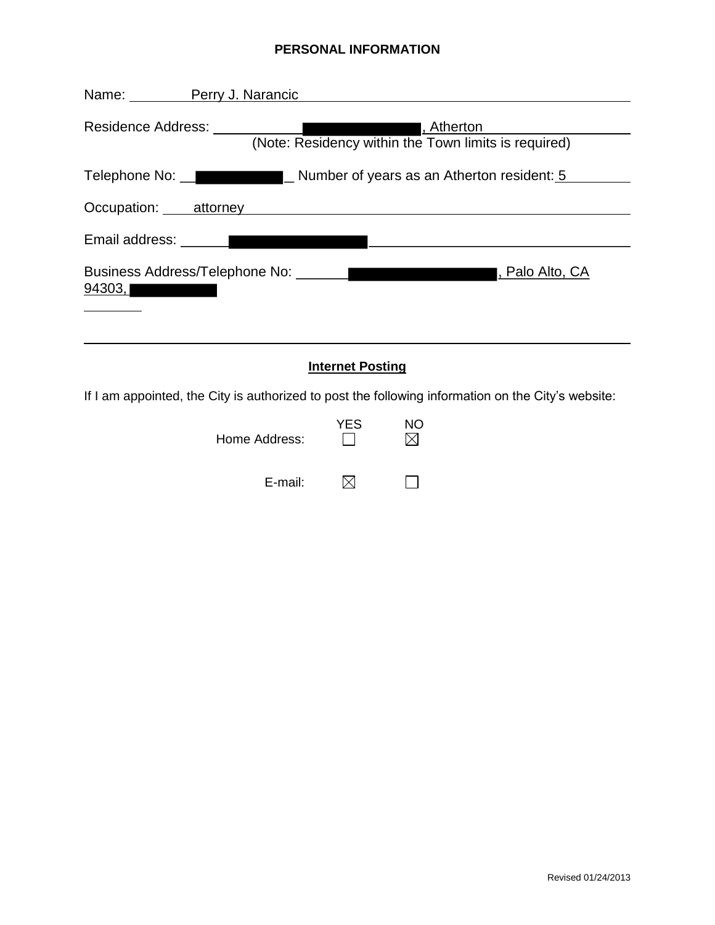## **PERSONAL INFORMATION**

|        | Name: Perry J. Narancic                                                                                                                                                                                                                                                                 |
|--------|-----------------------------------------------------------------------------------------------------------------------------------------------------------------------------------------------------------------------------------------------------------------------------------------|
|        | Residence Address: Nessler<br>, Atherton<br>(Note: Residency within the Town limits is required)                                                                                                                                                                                        |
|        | Telephone No: Number of years as an Atherton resident: 5                                                                                                                                                                                                                                |
|        |                                                                                                                                                                                                                                                                                         |
|        | Email address: No. 1996. The Contract of the Contract of The Contract of The Contract of The Contract of The Contract of The Contract of The Contract of The Contract of The Contract of The Contract of The Contract of The C<br><u> 1989 - Johann Stein, fransk politik (d. 1989)</u> |
| 94303, | Business Address/Telephone No:<br>l, Palo Alto, CA                                                                                                                                                                                                                                      |
|        | <b>Internet Posting</b><br>If I am appointed, the City is authorized to post the following information on the City's website:                                                                                                                                                           |

YES NO Home Address:  $\boxtimes$  $\Box$ E-mail: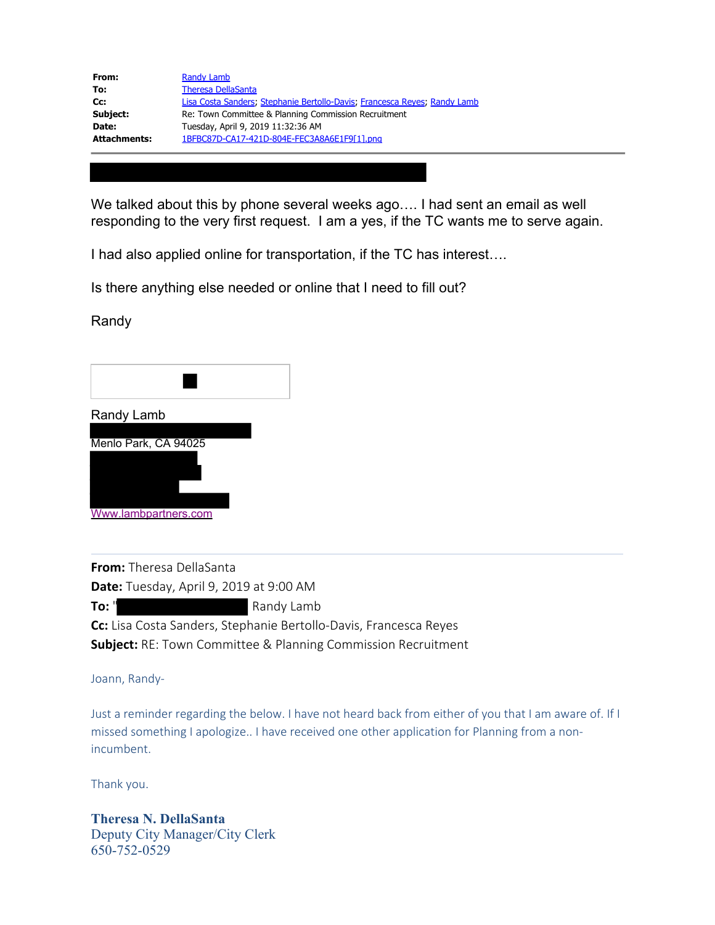| From:               | Randy Lamb                                                                |
|---------------------|---------------------------------------------------------------------------|
| To:                 | <b>Theresa DellaSanta</b>                                                 |
| Cc:                 | Lisa Costa Sanders; Stephanie Bertollo-Davis; Francesca Reyes; Randy Lamb |
| Subject:            | Re: Town Committee & Planning Commission Recruitment                      |
| Date:               | Tuesday, April 9, 2019 11:32:36 AM                                        |
| <b>Attachments:</b> | 1BFBC87D-CA17-421D-804E-FEC3A8A6E1F9[1].png                               |
|                     |                                                                           |

We talked about this by phone several weeks ago.... I had sent an email as well responding to the very first request. I am a yes, if the TC wants me to serve again.

I had also applied online for transportation, if the TC has interest….

Is there anything else needed or online that I need to fill out?

Randy



**From:** Theresa DellaSanta **Date:** Tuesday, April 9, 2019 at 9:00 AM **To:** " Randy Lamb **Cc:** Lisa Costa Sanders, Stephanie Bertollo-Davis, Francesca Reyes **Subject:** RE: Town Committee & Planning Commission Recruitment

Joann, Randy-

Just a reminder regarding the below. I have not heard back from either of you that I am aware of. If I missed something I apologize.. I have received one other application for Planning from a nonincumbent.

Thank you.

**Theresa N. DellaSanta** Deputy City Manager/City Clerk 650-752-0529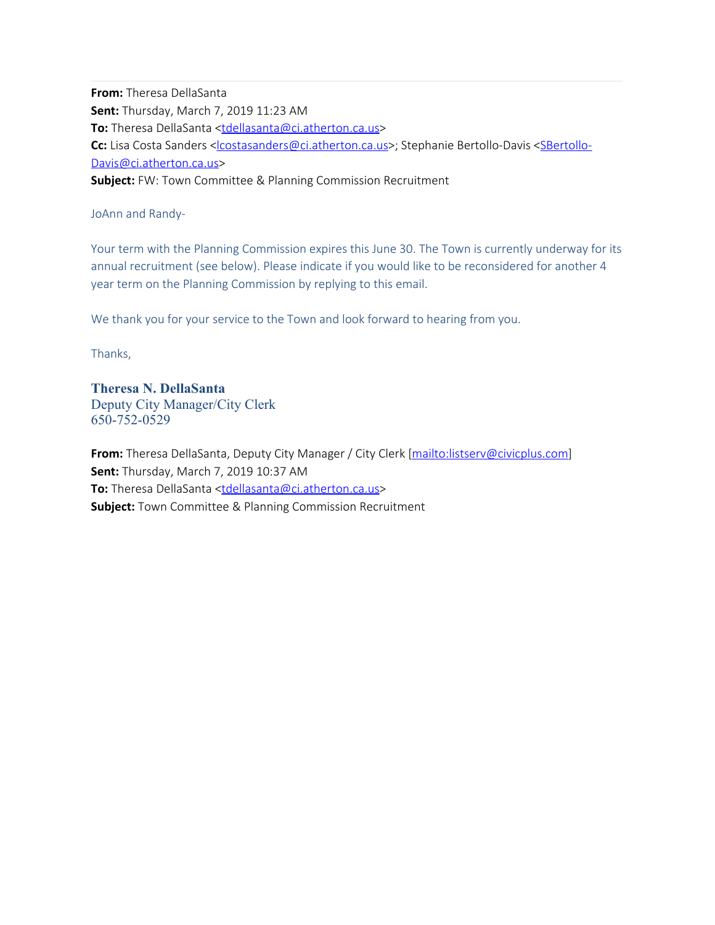**From:** Theresa DellaSanta **Sent:** Thursday, March 7, 2019 11:23 AM To: Theresa DellaSanta <[tdellasanta@ci.atherton.ca.us](mailto:tdellasanta@ci.atherton.ca.us)> Cc: Lisa Costa Sanders <<u>lcostasanders@ci.atherton.ca.us</u>>; Stephanie Bertollo-Davis <[SBertollo-](mailto:SBertollo-Davis@ci.atherton.ca.us)[Davis@ci.atherton.ca.us](mailto:SBertollo-Davis@ci.atherton.ca.us)> **Subject:** FW: Town Committee & Planning Commission Recruitment

JoAnn and Randy-

Your term with the Planning Commission expires this June 30. The Town is currently underway for its annual recruitment (see below). Please indicate if you would like to be reconsidered for another 4 year term on the Planning Commission by replying to this email.

We thank you for your service to the Town and look forward to hearing from you.

Thanks,

**Theresa N. DellaSanta** Deputy City Manager/City Clerk 650-752-0529

**From:** Theresa DellaSanta, Deputy City Manager / City Clerk [\[mailto:listserv@civicplus.com\]](mailto:listserv@civicplus.com) **Sent:** Thursday, March 7, 2019 10:37 AM **To:** Theresa DellaSanta <[tdellasanta@ci.atherton.ca.us](mailto:tdellasanta@ci.atherton.ca.us)> **Subject:** Town Committee & Planning Commission Recruitment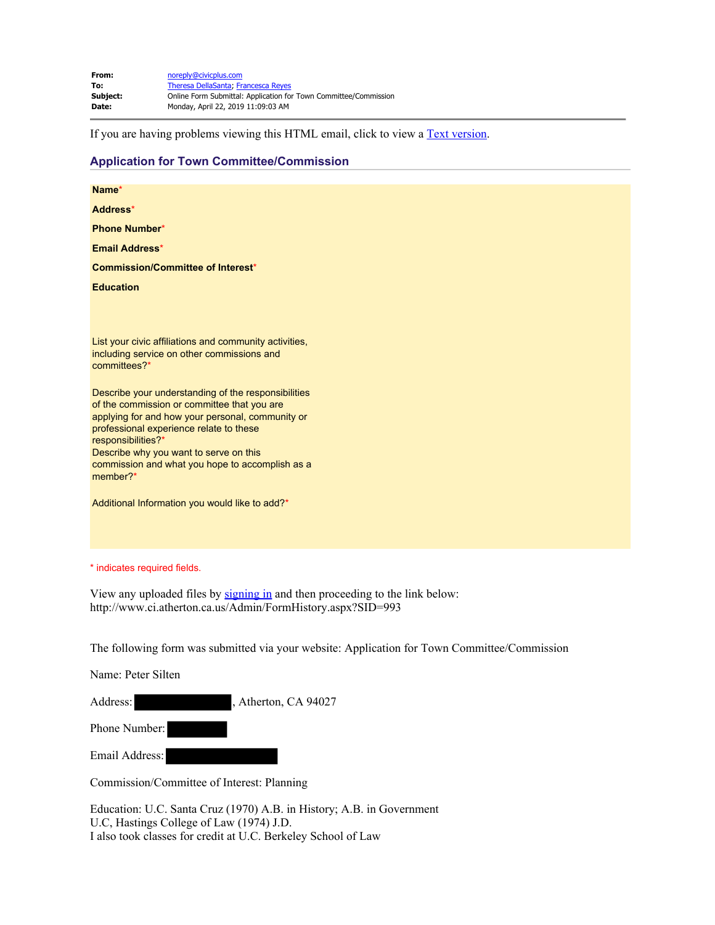| From:    | noreply@civicplus.com                                            |
|----------|------------------------------------------------------------------|
| To:      | <b>Theresa DellaSanta: Francesca Reves</b>                       |
| Subject: | Online Form Submittal: Application for Town Committee/Commission |
| Date:    | Monday, April 22, 2019 11:09:03 AM                               |

If you are having problems viewing this HTML email, click to view a [Text version](#page-33-0).

### **Application for Town Committee/Commission**

| Name*                                                                                                                                                                                                                                                                                                                            |  |
|----------------------------------------------------------------------------------------------------------------------------------------------------------------------------------------------------------------------------------------------------------------------------------------------------------------------------------|--|
| Address*                                                                                                                                                                                                                                                                                                                         |  |
| <b>Phone Number*</b>                                                                                                                                                                                                                                                                                                             |  |
| <b>Email Address*</b>                                                                                                                                                                                                                                                                                                            |  |
| <b>Commission/Committee of Interest*</b>                                                                                                                                                                                                                                                                                         |  |
| <b>Education</b>                                                                                                                                                                                                                                                                                                                 |  |
|                                                                                                                                                                                                                                                                                                                                  |  |
| List your civic affiliations and community activities,<br>including service on other commissions and<br>committees?*                                                                                                                                                                                                             |  |
| Describe your understanding of the responsibilities<br>of the commission or committee that you are<br>applying for and how your personal, community or<br>professional experience relate to these<br>responsibilities?*<br>Describe why you want to serve on this<br>commission and what you hope to accomplish as a<br>member?* |  |
| Additional Information you would like to add?*                                                                                                                                                                                                                                                                                   |  |
|                                                                                                                                                                                                                                                                                                                                  |  |

\* indicates required fields.

View any uploaded files by [signing in](file:////c/www.ci.atherton.ca.us/MyAccount) and then proceeding to the link below: http://www.ci.atherton.ca.us/Admin/FormHistory.aspx?SID=993

The following form was submitted via your website: Application for Town Committee/Commission

<span id="page-33-0"></span>Name: Peter Silten

Address: , Atherton, CA 94027

Phone Number: Email Address:

Commission/Committee of Interest: Planning

Education: U.C. Santa Cruz (1970) A.B. in History; A.B. in Government U.C, Hastings College of Law (1974) J.D. I also took classes for credit at U.C. Berkeley School of Law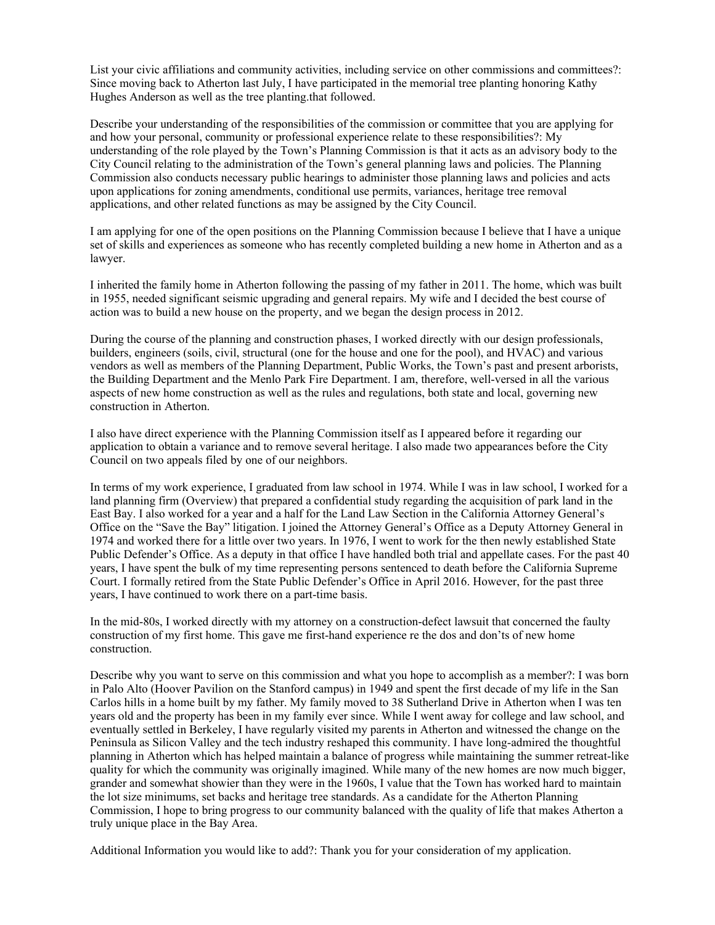List your civic affiliations and community activities, including service on other commissions and committees?: Since moving back to Atherton last July, I have participated in the memorial tree planting honoring Kathy Hughes Anderson as well as the tree planting.that followed.

Describe your understanding of the responsibilities of the commission or committee that you are applying for and how your personal, community or professional experience relate to these responsibilities?: My understanding of the role played by the Town's Planning Commission is that it acts as an advisory body to the City Council relating to the administration of the Town's general planning laws and policies. The Planning Commission also conducts necessary public hearings to administer those planning laws and policies and acts upon applications for zoning amendments, conditional use permits, variances, heritage tree removal applications, and other related functions as may be assigned by the City Council.

I am applying for one of the open positions on the Planning Commission because I believe that I have a unique set of skills and experiences as someone who has recently completed building a new home in Atherton and as a lawyer.

I inherited the family home in Atherton following the passing of my father in 2011. The home, which was built in 1955, needed significant seismic upgrading and general repairs. My wife and I decided the best course of action was to build a new house on the property, and we began the design process in 2012.

During the course of the planning and construction phases, I worked directly with our design professionals, builders, engineers (soils, civil, structural (one for the house and one for the pool), and HVAC) and various vendors as well as members of the Planning Department, Public Works, the Town's past and present arborists, the Building Department and the Menlo Park Fire Department. I am, therefore, well-versed in all the various aspects of new home construction as well as the rules and regulations, both state and local, governing new construction in Atherton.

I also have direct experience with the Planning Commission itself as I appeared before it regarding our application to obtain a variance and to remove several heritage. I also made two appearances before the City Council on two appeals filed by one of our neighbors.

In terms of my work experience, I graduated from law school in 1974. While I was in law school, I worked for a land planning firm (Overview) that prepared a confidential study regarding the acquisition of park land in the East Bay. I also worked for a year and a half for the Land Law Section in the California Attorney General's Office on the "Save the Bay" litigation. I joined the Attorney General's Office as a Deputy Attorney General in 1974 and worked there for a little over two years. In 1976, I went to work for the then newly established State Public Defender's Office. As a deputy in that office I have handled both trial and appellate cases. For the past 40 years, I have spent the bulk of my time representing persons sentenced to death before the California Supreme Court. I formally retired from the State Public Defender's Office in April 2016. However, for the past three years, I have continued to work there on a part-time basis.

In the mid-80s, I worked directly with my attorney on a construction-defect lawsuit that concerned the faulty construction of my first home. This gave me first-hand experience re the dos and don'ts of new home construction.

Describe why you want to serve on this commission and what you hope to accomplish as a member?: I was born in Palo Alto (Hoover Pavilion on the Stanford campus) in 1949 and spent the first decade of my life in the San Carlos hills in a home built by my father. My family moved to 38 Sutherland Drive in Atherton when I was ten years old and the property has been in my family ever since. While I went away for college and law school, and eventually settled in Berkeley, I have regularly visited my parents in Atherton and witnessed the change on the Peninsula as Silicon Valley and the tech industry reshaped this community. I have long-admired the thoughtful planning in Atherton which has helped maintain a balance of progress while maintaining the summer retreat-like quality for which the community was originally imagined. While many of the new homes are now much bigger, grander and somewhat showier than they were in the 1960s, I value that the Town has worked hard to maintain the lot size minimums, set backs and heritage tree standards. As a candidate for the Atherton Planning Commission, I hope to bring progress to our community balanced with the quality of life that makes Atherton a truly unique place in the Bay Area.

Additional Information you would like to add?: Thank you for your consideration of my application.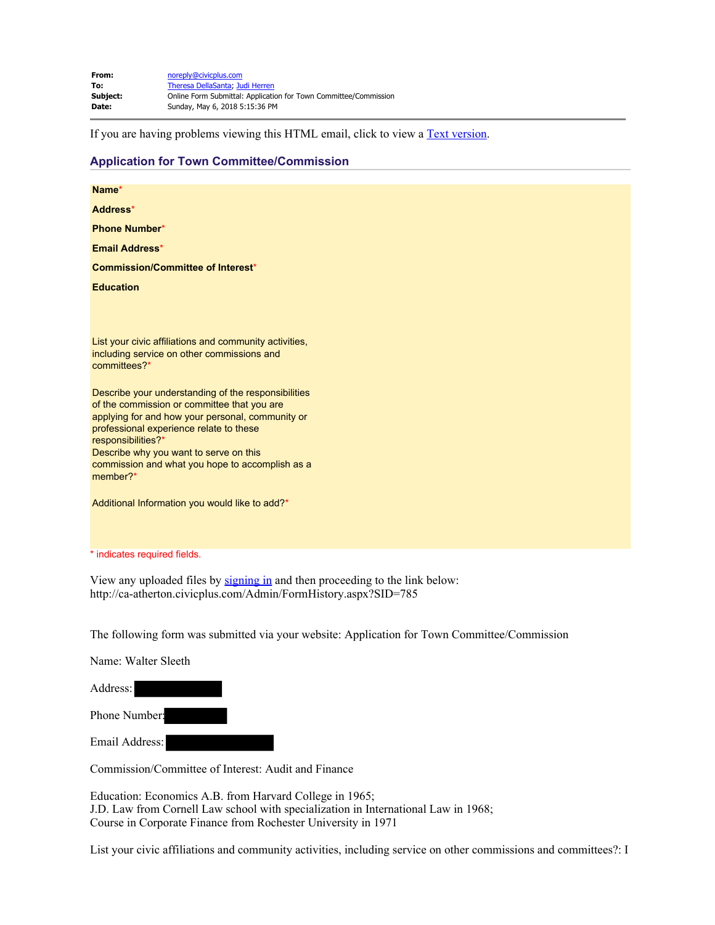| From:           | noreply@civicplus.com                                            |
|-----------------|------------------------------------------------------------------|
| To:             | Theresa DellaSanta; Judi Herren                                  |
| <b>Subject:</b> | Online Form Submittal: Application for Town Committee/Commission |
| Date:           | Sunday, May 6, 2018 5:15:36 PM                                   |

If you are having problems viewing this HTML email, click to view a [Text version](#page-35-0).

### **Application for Town Committee/Commission**

| Name*                                                                                              |  |
|----------------------------------------------------------------------------------------------------|--|
| Address*                                                                                           |  |
| <b>Phone Number*</b>                                                                               |  |
| Email Address*                                                                                     |  |
| <b>Commission/Committee of Interest*</b>                                                           |  |
| <b>Education</b>                                                                                   |  |
|                                                                                                    |  |
|                                                                                                    |  |
| List your civic affiliations and community activities,                                             |  |
| including service on other commissions and<br>committees?*                                         |  |
|                                                                                                    |  |
| Describe your understanding of the responsibilities<br>of the commission or committee that you are |  |
| applying for and how your personal, community or                                                   |  |
| professional experience relate to these                                                            |  |
| responsibilities?*<br>Describe why you want to serve on this                                       |  |
| commission and what you hope to accomplish as a                                                    |  |
| member?*                                                                                           |  |
| Additional Information you would like to add?*                                                     |  |
|                                                                                                    |  |
|                                                                                                    |  |

\* indicates required fields.

View any uploaded files by [signing in](file:////c/ca-atherton.civicplus.com/MyAccount) and then proceeding to the link below: http://ca-atherton.civicplus.com/Admin/FormHistory.aspx?SID=785

The following form was submitted via your website: Application for Town Committee/Commission

<span id="page-35-0"></span>Name: Walter Sleeth

| Address:      |  |
|---------------|--|
| Phone Number: |  |

Email Address:

Commission/Committee of Interest: Audit and Finance

Education: Economics A.B. from Harvard College in 1965; J.D. Law from Cornell Law school with specialization in International Law in 1968; Course in Corporate Finance from Rochester University in 1971

List your civic affiliations and community activities, including service on other commissions and committees?: I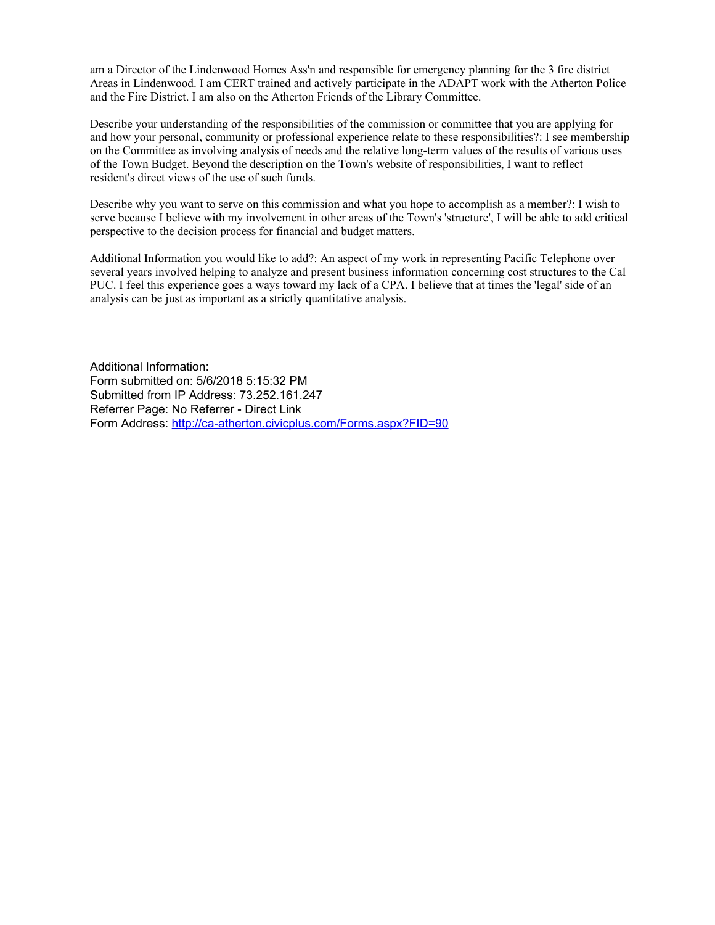am a Director of the Lindenwood Homes Ass'n and responsible for emergency planning for the 3 fire district Areas in Lindenwood. I am CERT trained and actively participate in the ADAPT work with the Atherton Police and the Fire District. I am also on the Atherton Friends of the Library Committee.

Describe your understanding of the responsibilities of the commission or committee that you are applying for and how your personal, community or professional experience relate to these responsibilities?: I see membership on the Committee as involving analysis of needs and the relative long-term values of the results of various uses of the Town Budget. Beyond the description on the Town's website of responsibilities, I want to reflect resident's direct views of the use of such funds.

Describe why you want to serve on this commission and what you hope to accomplish as a member?: I wish to serve because I believe with my involvement in other areas of the Town's 'structure', I will be able to add critical perspective to the decision process for financial and budget matters.

Additional Information you would like to add?: An aspect of my work in representing Pacific Telephone over several years involved helping to analyze and present business information concerning cost structures to the Cal PUC. I feel this experience goes a ways toward my lack of a CPA. I believe that at times the 'legal' side of an analysis can be just as important as a strictly quantitative analysis.

Additional Information: Form submitted on: 5/6/2018 5:15:32 PM Submitted from IP Address: 73.252.161.247 Referrer Page: No Referrer - Direct Link Form Address:<http://ca-atherton.civicplus.com/Forms.aspx?FID=90>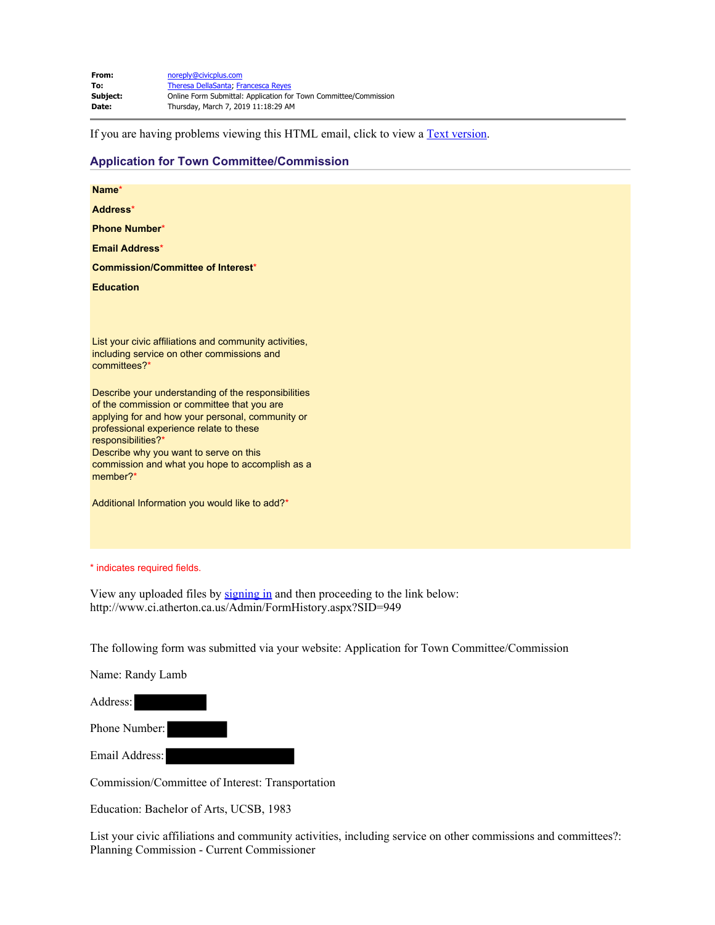| From:    | noreply@civicplus.com                                            |
|----------|------------------------------------------------------------------|
| To:      | <b>Theresa DellaSanta: Francesca Reves</b>                       |
| Subject: | Online Form Submittal: Application for Town Committee/Commission |
| Date:    | Thursday, March 7, 2019 11:18:29 AM                              |

If you are having problems viewing this HTML email, click to view a **Text version**.

### **Application for Town Committee/Commission**

| Name*                                                                                                                                                                                                                                                                                                                            |
|----------------------------------------------------------------------------------------------------------------------------------------------------------------------------------------------------------------------------------------------------------------------------------------------------------------------------------|
| Address*                                                                                                                                                                                                                                                                                                                         |
| <b>Phone Number*</b>                                                                                                                                                                                                                                                                                                             |
| <b>Email Address*</b>                                                                                                                                                                                                                                                                                                            |
| <b>Commission/Committee of Interest*</b>                                                                                                                                                                                                                                                                                         |
| <b>Education</b>                                                                                                                                                                                                                                                                                                                 |
|                                                                                                                                                                                                                                                                                                                                  |
| List your civic affiliations and community activities,<br>including service on other commissions and<br>committees?*                                                                                                                                                                                                             |
| Describe your understanding of the responsibilities<br>of the commission or committee that you are<br>applying for and how your personal, community or<br>professional experience relate to these<br>responsibilities?*<br>Describe why you want to serve on this<br>commission and what you hope to accomplish as a<br>member?* |
| Additional Information you would like to add?*                                                                                                                                                                                                                                                                                   |
| * indicates required fields.                                                                                                                                                                                                                                                                                                     |

View any uploaded files by [signing in](file:////c/www.ci.atherton.ca.us/MyAccount) and then proceeding to the link below: http://www.ci.atherton.ca.us/Admin/FormHistory.aspx?SID=949

The following form was submitted via your website: Application for Town Committee/Commission

Name: Randy Lamb

Address: Phone Number: Email Address:

Commission/Committee of Interest: Transportation

Education: Bachelor of Arts, UCSB, 1983

List your civic affiliations and community activities, including service on other commissions and committees?: Planning Commission - Current Commissioner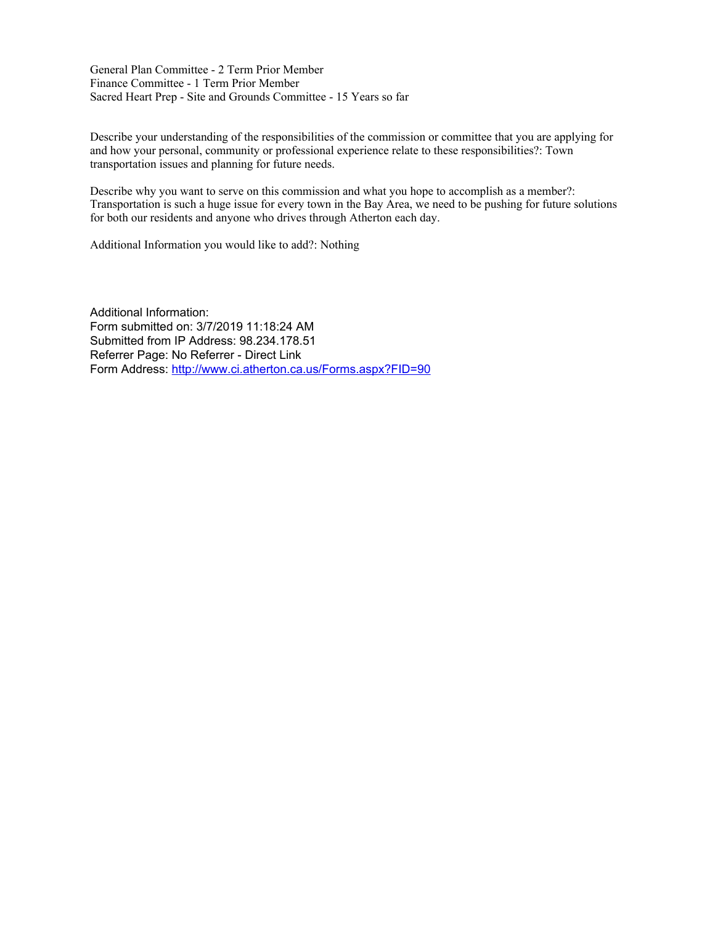General Plan Committee - 2 Term Prior Member Finance Committee - 1 Term Prior Member Sacred Heart Prep - Site and Grounds Committee - 15 Years so far

Describe your understanding of the responsibilities of the commission or committee that you are applying for and how your personal, community or professional experience relate to these responsibilities?: Town transportation issues and planning for future needs.

Describe why you want to serve on this commission and what you hope to accomplish as a member?: Transportation is such a huge issue for every town in the Bay Area, we need to be pushing for future solutions for both our residents and anyone who drives through Atherton each day.

Additional Information you would like to add?: Nothing

Additional Information: Form submitted on: 3/7/2019 11:18:24 AM Submitted from IP Address: 98.234.178.51 Referrer Page: No Referrer - Direct Link Form Address:<http://www.ci.atherton.ca.us/Forms.aspx?FID=90>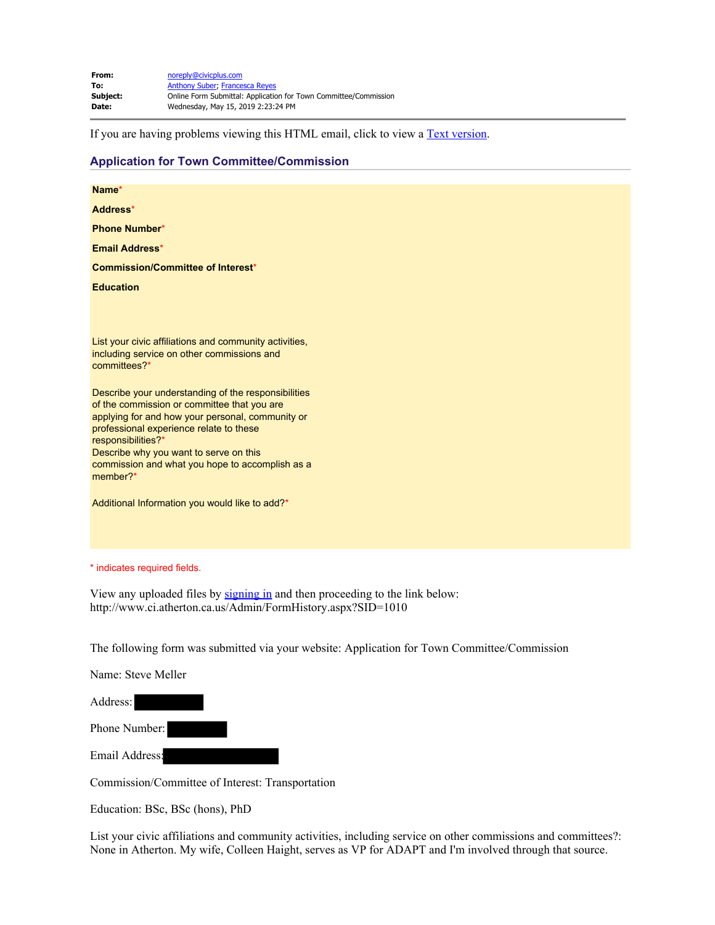| From:    | noreply@civicplus.com                                            |
|----------|------------------------------------------------------------------|
| To:      | <b>Anthony Suber: Francesca Reves</b>                            |
| Subject: | Online Form Submittal: Application for Town Committee/Commission |
| Date:    | Wednesday, May 15, 2019 2:23:24 PM                               |

If you are having problems viewing this HTML email, click to view a **Text version**.

### **Application for Town Committee/Commission**

| Name*                                                                                                                                                                                                                                                                                                                                                                                                                                                    |
|----------------------------------------------------------------------------------------------------------------------------------------------------------------------------------------------------------------------------------------------------------------------------------------------------------------------------------------------------------------------------------------------------------------------------------------------------------|
| Address*                                                                                                                                                                                                                                                                                                                                                                                                                                                 |
| <b>Phone Number*</b>                                                                                                                                                                                                                                                                                                                                                                                                                                     |
| <b>Email Address*</b>                                                                                                                                                                                                                                                                                                                                                                                                                                    |
| <b>Commission/Committee of Interest*</b>                                                                                                                                                                                                                                                                                                                                                                                                                 |
| <b>Education</b>                                                                                                                                                                                                                                                                                                                                                                                                                                         |
|                                                                                                                                                                                                                                                                                                                                                                                                                                                          |
| List your civic affiliations and community activities,<br>including service on other commissions and<br>committees?*<br>Describe your understanding of the responsibilities<br>of the commission or committee that you are<br>applying for and how your personal, community or<br>professional experience relate to these<br>responsibilities?*<br>Describe why you want to serve on this<br>commission and what you hope to accomplish as a<br>member?* |
| Additional Information you would like to add?*                                                                                                                                                                                                                                                                                                                                                                                                           |
| * indicates required fields.<br>View any uploaded files by signing in and then proceeding to the link below:                                                                                                                                                                                                                                                                                                                                             |

View any uploaded files by [signing in](file:////c/www.ci.atherton.ca.us/MyAccount) and then proceeding to the link below: http://www.ci.atherton.ca.us/Admin/FormHistory.aspx?SID=1010

The following form was submitted via your website: Application for Town Committee/Commission

<span id="page-39-0"></span>Name: Steve Meller

Address: Phone Number: Email Address:

Commission/Committee of Interest: Transportation

Education: BSc, BSc (hons), PhD

List your civic affiliations and community activities, including service on other commissions and committees?: None in Atherton. My wife, Colleen Haight, serves as VP for ADAPT and I'm involved through that source.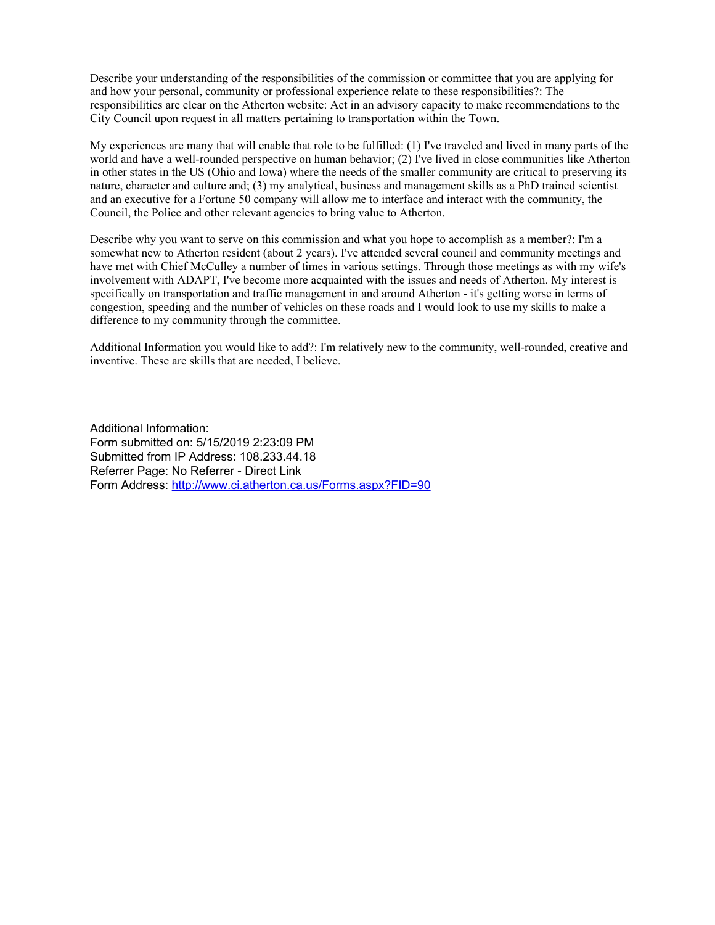Describe your understanding of the responsibilities of the commission or committee that you are applying for and how your personal, community or professional experience relate to these responsibilities?: The responsibilities are clear on the Atherton website: Act in an advisory capacity to make recommendations to the City Council upon request in all matters pertaining to transportation within the Town.

My experiences are many that will enable that role to be fulfilled: (1) I've traveled and lived in many parts of the world and have a well-rounded perspective on human behavior; (2) I've lived in close communities like Atherton in other states in the US (Ohio and Iowa) where the needs of the smaller community are critical to preserving its nature, character and culture and; (3) my analytical, business and management skills as a PhD trained scientist and an executive for a Fortune 50 company will allow me to interface and interact with the community, the Council, the Police and other relevant agencies to bring value to Atherton.

Describe why you want to serve on this commission and what you hope to accomplish as a member?: I'm a somewhat new to Atherton resident (about 2 years). I've attended several council and community meetings and have met with Chief McCulley a number of times in various settings. Through those meetings as with my wife's involvement with ADAPT, I've become more acquainted with the issues and needs of Atherton. My interest is specifically on transportation and traffic management in and around Atherton - it's getting worse in terms of congestion, speeding and the number of vehicles on these roads and I would look to use my skills to make a difference to my community through the committee.

Additional Information you would like to add?: I'm relatively new to the community, well-rounded, creative and inventive. These are skills that are needed, I believe.

Additional Information: Form submitted on: 5/15/2019 2:23:09 PM Submitted from IP Address: 108.233.44.18 Referrer Page: No Referrer - Direct Link Form Address:<http://www.ci.atherton.ca.us/Forms.aspx?FID=90>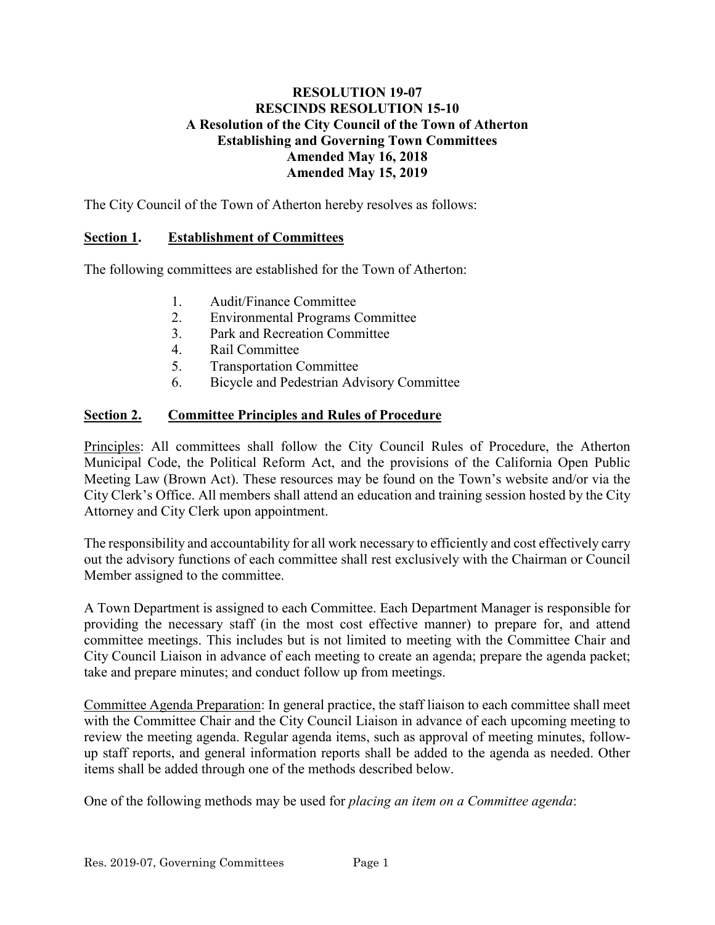## **RESOLUTION 19-07 RESCINDS RESOLUTION 15-10 A Resolution of the City Council of the Town of Atherton Establishing and Governing Town Committees Amended May 16, 2018 Amended May 15, 2019**

The City Council of the Town of Atherton hereby resolves as follows:

## **Section 1. Establishment of Committees**

The following committees are established for the Town of Atherton:

- 1. Audit/Finance Committee
- 2. Environmental Programs Committee
- 3. Park and Recreation Committee
- 4. Rail Committee
- 5. Transportation Committee
- 6. Bicycle and Pedestrian Advisory Committee

## **Section 2. Committee Principles and Rules of Procedure**

Principles: All committees shall follow the City Council Rules of Procedure, the Atherton Municipal Code, the Political Reform Act, and the provisions of the California Open Public Meeting Law (Brown Act). These resources may be found on the Town's website and/or via the City Clerk's Office. All members shall attend an education and training session hosted by the City Attorney and City Clerk upon appointment.

The responsibility and accountability for all work necessary to efficiently and cost effectively carry out the advisory functions of each committee shall rest exclusively with the Chairman or Council Member assigned to the committee.

A Town Department is assigned to each Committee. Each Department Manager is responsible for providing the necessary staff (in the most cost effective manner) to prepare for, and attend committee meetings. This includes but is not limited to meeting with the Committee Chair and City Council Liaison in advance of each meeting to create an agenda; prepare the agenda packet; take and prepare minutes; and conduct follow up from meetings.

Committee Agenda Preparation: In general practice, the staff liaison to each committee shall meet with the Committee Chair and the City Council Liaison in advance of each upcoming meeting to review the meeting agenda. Regular agenda items, such as approval of meeting minutes, followup staff reports, and general information reports shall be added to the agenda as needed. Other items shall be added through one of the methods described below.

One of the following methods may be used for *placing an item on a Committee agenda*: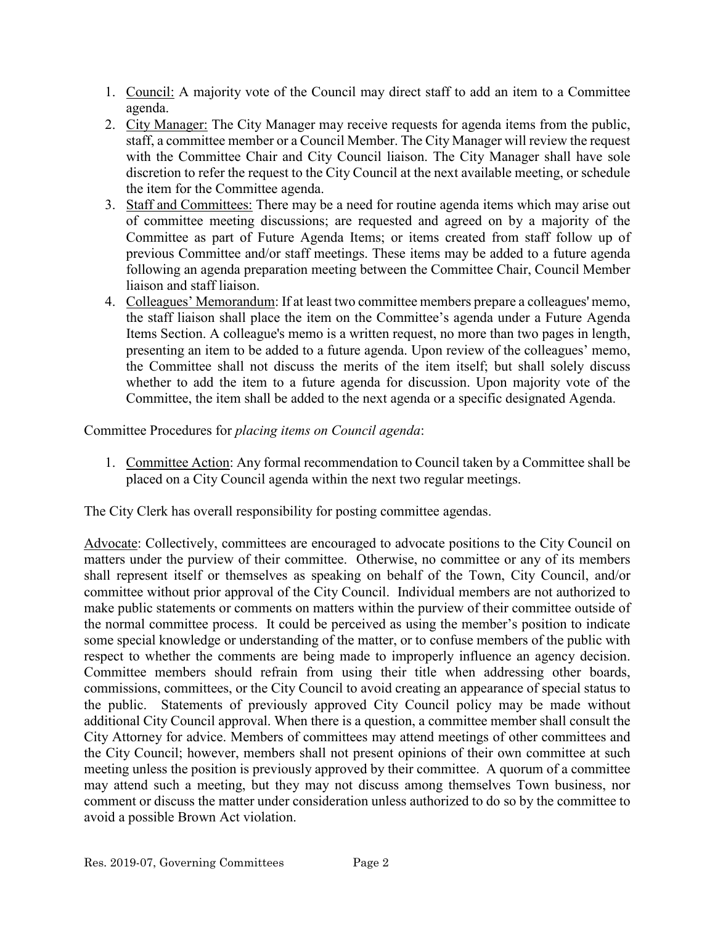- 1. Council: A majority vote of the Council may direct staff to add an item to a Committee agenda.
- 2. City Manager: The City Manager may receive requests for agenda items from the public, staff, a committee member or a Council Member. The City Manager will review the request with the Committee Chair and City Council liaison. The City Manager shall have sole discretion to refer the request to the City Council at the next available meeting, or schedule the item for the Committee agenda.
- 3. Staff and Committees: There may be a need for routine agenda items which may arise out of committee meeting discussions; are requested and agreed on by a majority of the Committee as part of Future Agenda Items; or items created from staff follow up of previous Committee and/or staff meetings. These items may be added to a future agenda following an agenda preparation meeting between the Committee Chair, Council Member liaison and staff liaison.
- 4. Colleagues' Memorandum: If at least two committee members prepare a colleagues' memo, the staff liaison shall place the item on the Committee's agenda under a Future Agenda Items Section. A colleague's memo is a written request, no more than two pages in length, presenting an item to be added to a future agenda. Upon review of the colleagues' memo, the Committee shall not discuss the merits of the item itself; but shall solely discuss whether to add the item to a future agenda for discussion. Upon majority vote of the Committee, the item shall be added to the next agenda or a specific designated Agenda.

Committee Procedures for *placing items on Council agenda*:

1. Committee Action: Any formal recommendation to Council taken by a Committee shall be placed on a City Council agenda within the next two regular meetings.

The City Clerk has overall responsibility for posting committee agendas.

Advocate: Collectively, committees are encouraged to advocate positions to the City Council on matters under the purview of their committee. Otherwise, no committee or any of its members shall represent itself or themselves as speaking on behalf of the Town, City Council, and/or committee without prior approval of the City Council. Individual members are not authorized to make public statements or comments on matters within the purview of their committee outside of the normal committee process. It could be perceived as using the member's position to indicate some special knowledge or understanding of the matter, or to confuse members of the public with respect to whether the comments are being made to improperly influence an agency decision. Committee members should refrain from using their title when addressing other boards, commissions, committees, or the City Council to avoid creating an appearance of special status to the public. Statements of previously approved City Council policy may be made without additional City Council approval. When there is a question, a committee member shall consult the City Attorney for advice. Members of committees may attend meetings of other committees and the City Council; however, members shall not present opinions of their own committee at such meeting unless the position is previously approved by their committee. A quorum of a committee may attend such a meeting, but they may not discuss among themselves Town business, nor comment or discuss the matter under consideration unless authorized to do so by the committee to avoid a possible Brown Act violation.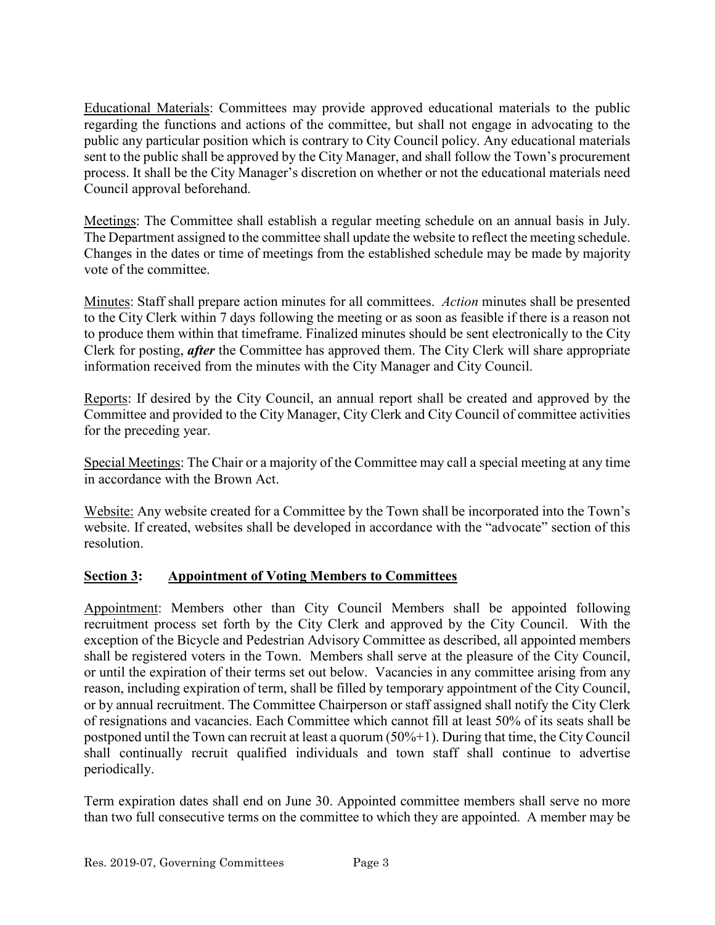Educational Materials: Committees may provide approved educational materials to the public regarding the functions and actions of the committee, but shall not engage in advocating to the public any particular position which is contrary to City Council policy. Any educational materials sent to the public shall be approved by the City Manager, and shall follow the Town's procurement process. It shall be the City Manager's discretion on whether or not the educational materials need Council approval beforehand.

Meetings: The Committee shall establish a regular meeting schedule on an annual basis in July. The Department assigned to the committee shall update the website to reflect the meeting schedule. Changes in the dates or time of meetings from the established schedule may be made by majority vote of the committee.

Minutes: Staff shall prepare action minutes for all committees. *Action* minutes shall be presented to the City Clerk within 7 days following the meeting or as soon as feasible if there is a reason not to produce them within that timeframe. Finalized minutes should be sent electronically to the City Clerk for posting, *after* the Committee has approved them. The City Clerk will share appropriate information received from the minutes with the City Manager and City Council.

Reports: If desired by the City Council, an annual report shall be created and approved by the Committee and provided to the City Manager, City Clerk and City Council of committee activities for the preceding year.

Special Meetings: The Chair or a majority of the Committee may call a special meeting at any time in accordance with the Brown Act.

Website: Any website created for a Committee by the Town shall be incorporated into the Town's website. If created, websites shall be developed in accordance with the "advocate" section of this resolution.

## **Section 3: Appointment of Voting Members to Committees**

Appointment: Members other than City Council Members shall be appointed following recruitment process set forth by the City Clerk and approved by the City Council. With the exception of the Bicycle and Pedestrian Advisory Committee as described, all appointed members shall be registered voters in the Town. Members shall serve at the pleasure of the City Council, or until the expiration of their terms set out below. Vacancies in any committee arising from any reason, including expiration of term, shall be filled by temporary appointment of the City Council, or by annual recruitment. The Committee Chairperson or staff assigned shall notify the City Clerk of resignations and vacancies. Each Committee which cannot fill at least 50% of its seats shall be postponed until the Town can recruit at least a quorum (50%+1). During that time, the City Council shall continually recruit qualified individuals and town staff shall continue to advertise periodically.

Term expiration dates shall end on June 30. Appointed committee members shall serve no more than two full consecutive terms on the committee to which they are appointed. A member may be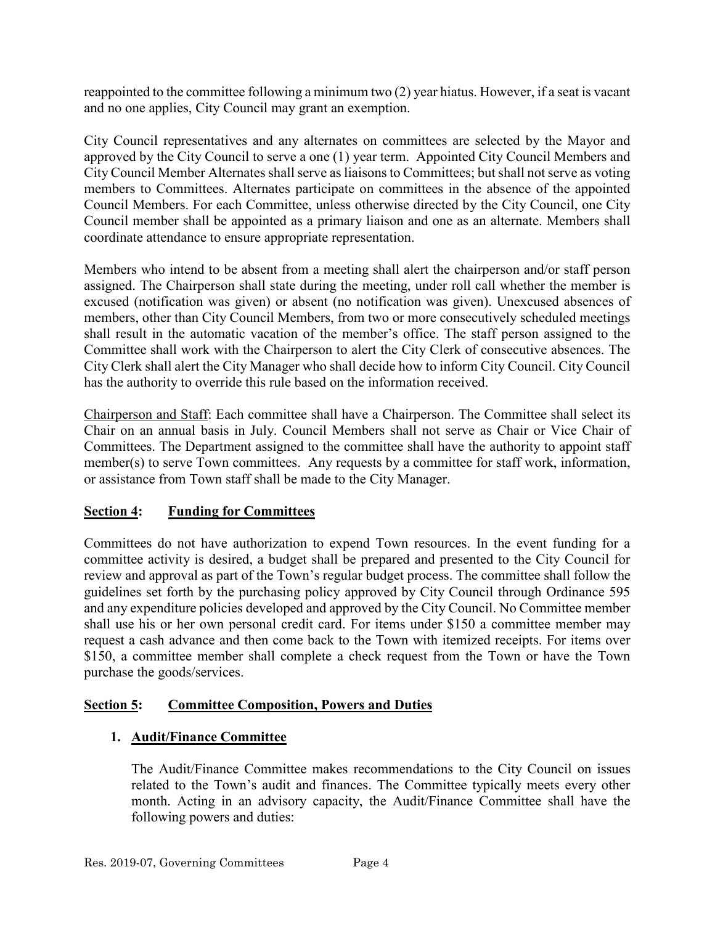reappointed to the committee following a minimum two (2) year hiatus. However, if a seat is vacant and no one applies, City Council may grant an exemption.

City Council representatives and any alternates on committees are selected by the Mayor and approved by the City Council to serve a one (1) year term. Appointed City Council Members and City Council Member Alternates shall serve as liaisons to Committees; but shall not serve as voting members to Committees. Alternates participate on committees in the absence of the appointed Council Members. For each Committee, unless otherwise directed by the City Council, one City Council member shall be appointed as a primary liaison and one as an alternate. Members shall coordinate attendance to ensure appropriate representation.

Members who intend to be absent from a meeting shall alert the chairperson and/or staff person assigned. The Chairperson shall state during the meeting, under roll call whether the member is excused (notification was given) or absent (no notification was given). Unexcused absences of members, other than City Council Members, from two or more consecutively scheduled meetings shall result in the automatic vacation of the member's office. The staff person assigned to the Committee shall work with the Chairperson to alert the City Clerk of consecutive absences. The City Clerk shall alert the City Manager who shall decide how to inform City Council. City Council has the authority to override this rule based on the information received.

Chairperson and Staff: Each committee shall have a Chairperson. The Committee shall select its Chair on an annual basis in July. Council Members shall not serve as Chair or Vice Chair of Committees. The Department assigned to the committee shall have the authority to appoint staff member(s) to serve Town committees. Any requests by a committee for staff work, information, or assistance from Town staff shall be made to the City Manager.

## **Section 4: Funding for Committees**

Committees do not have authorization to expend Town resources. In the event funding for a committee activity is desired, a budget shall be prepared and presented to the City Council for review and approval as part of the Town's regular budget process. The committee shall follow the guidelines set forth by the purchasing policy approved by City Council through Ordinance 595 and any expenditure policies developed and approved by the City Council. No Committee member shall use his or her own personal credit card. For items under \$150 a committee member may request a cash advance and then come back to the Town with itemized receipts. For items over \$150, a committee member shall complete a check request from the Town or have the Town purchase the goods/services.

## **Section 5: Committee Composition, Powers and Duties**

## **1. Audit/Finance Committee**

The Audit/Finance Committee makes recommendations to the City Council on issues related to the Town's audit and finances. The Committee typically meets every other month. Acting in an advisory capacity, the Audit/Finance Committee shall have the following powers and duties: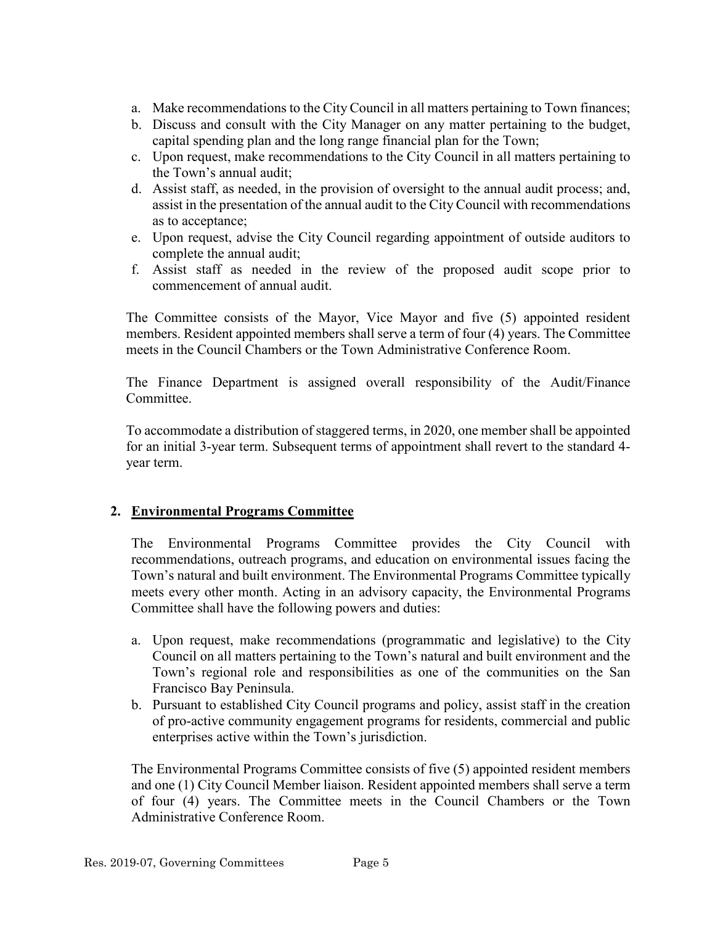- a. Make recommendations to the City Council in all matters pertaining to Town finances;
- b. Discuss and consult with the City Manager on any matter pertaining to the budget, capital spending plan and the long range financial plan for the Town;
- c. Upon request, make recommendations to the City Council in all matters pertaining to the Town's annual audit;
- d. Assist staff, as needed, in the provision of oversight to the annual audit process; and, assist in the presentation of the annual audit to the City Council with recommendations as to acceptance;
- e. Upon request, advise the City Council regarding appointment of outside auditors to complete the annual audit;
- f. Assist staff as needed in the review of the proposed audit scope prior to commencement of annual audit.

The Committee consists of the Mayor, Vice Mayor and five (5) appointed resident members. Resident appointed members shall serve a term of four (4) years. The Committee meets in the Council Chambers or the Town Administrative Conference Room.

The Finance Department is assigned overall responsibility of the Audit/Finance Committee.

To accommodate a distribution of staggered terms, in 2020, one member shall be appointed for an initial 3-year term. Subsequent terms of appointment shall revert to the standard 4 year term.

## **2. Environmental Programs Committee**

The Environmental Programs Committee provides the City Council with recommendations, outreach programs, and education on environmental issues facing the Town's natural and built environment. The Environmental Programs Committee typically meets every other month. Acting in an advisory capacity, the Environmental Programs Committee shall have the following powers and duties:

- a. Upon request, make recommendations (programmatic and legislative) to the City Council on all matters pertaining to the Town's natural and built environment and the Town's regional role and responsibilities as one of the communities on the San Francisco Bay Peninsula.
- b. Pursuant to established City Council programs and policy, assist staff in the creation of pro-active community engagement programs for residents, commercial and public enterprises active within the Town's jurisdiction.

The Environmental Programs Committee consists of five (5) appointed resident members and one (1) City Council Member liaison. Resident appointed members shall serve a term of four (4) years. The Committee meets in the Council Chambers or the Town Administrative Conference Room.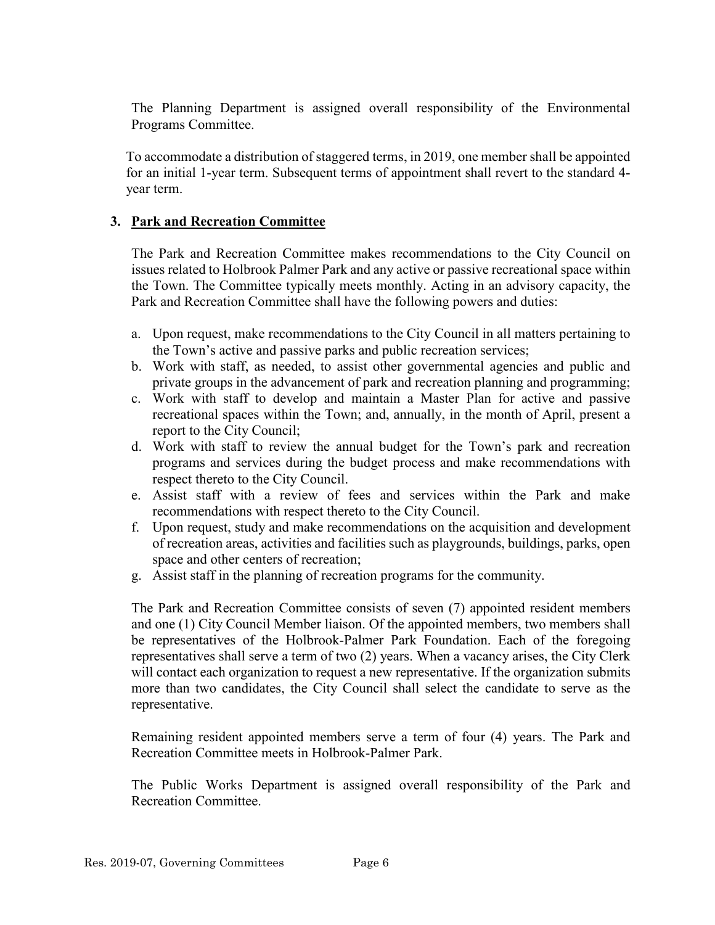The Planning Department is assigned overall responsibility of the Environmental Programs Committee.

To accommodate a distribution of staggered terms, in 2019, one member shall be appointed for an initial 1-year term. Subsequent terms of appointment shall revert to the standard 4 year term.

## **3. Park and Recreation Committee**

The Park and Recreation Committee makes recommendations to the City Council on issues related to Holbrook Palmer Park and any active or passive recreational space within the Town. The Committee typically meets monthly. Acting in an advisory capacity, the Park and Recreation Committee shall have the following powers and duties:

- a. Upon request, make recommendations to the City Council in all matters pertaining to the Town's active and passive parks and public recreation services;
- b. Work with staff, as needed, to assist other governmental agencies and public and private groups in the advancement of park and recreation planning and programming;
- c. Work with staff to develop and maintain a Master Plan for active and passive recreational spaces within the Town; and, annually, in the month of April, present a report to the City Council;
- d. Work with staff to review the annual budget for the Town's park and recreation programs and services during the budget process and make recommendations with respect thereto to the City Council.
- e. Assist staff with a review of fees and services within the Park and make recommendations with respect thereto to the City Council.
- f. Upon request, study and make recommendations on the acquisition and development of recreation areas, activities and facilities such as playgrounds, buildings, parks, open space and other centers of recreation;
- g. Assist staff in the planning of recreation programs for the community.

The Park and Recreation Committee consists of seven (7) appointed resident members and one (1) City Council Member liaison. Of the appointed members, two members shall be representatives of the Holbrook-Palmer Park Foundation. Each of the foregoing representatives shall serve a term of two (2) years. When a vacancy arises, the City Clerk will contact each organization to request a new representative. If the organization submits more than two candidates, the City Council shall select the candidate to serve as the representative.

Remaining resident appointed members serve a term of four (4) years. The Park and Recreation Committee meets in Holbrook-Palmer Park.

The Public Works Department is assigned overall responsibility of the Park and Recreation Committee.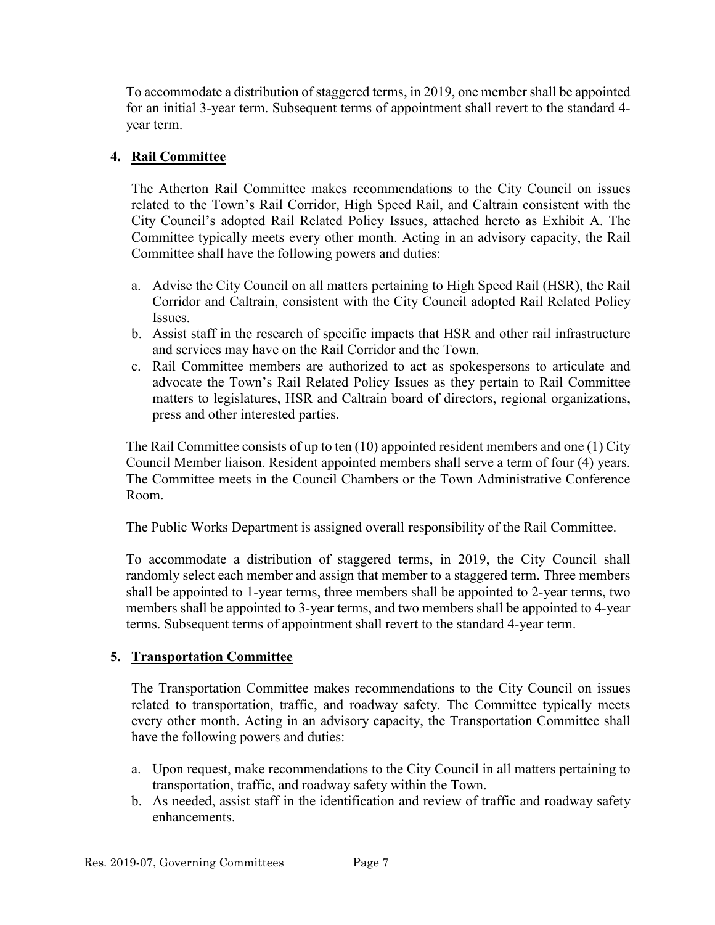To accommodate a distribution of staggered terms, in 2019, one member shall be appointed for an initial 3-year term. Subsequent terms of appointment shall revert to the standard 4 year term.

## **4. Rail Committee**

The Atherton Rail Committee makes recommendations to the City Council on issues related to the Town's Rail Corridor, High Speed Rail, and Caltrain consistent with the City Council's adopted Rail Related Policy Issues, attached hereto as Exhibit A. The Committee typically meets every other month. Acting in an advisory capacity, the Rail Committee shall have the following powers and duties:

- a. Advise the City Council on all matters pertaining to High Speed Rail (HSR), the Rail Corridor and Caltrain, consistent with the City Council adopted Rail Related Policy Issues.
- b. Assist staff in the research of specific impacts that HSR and other rail infrastructure and services may have on the Rail Corridor and the Town.
- c. Rail Committee members are authorized to act as spokespersons to articulate and advocate the Town's Rail Related Policy Issues as they pertain to Rail Committee matters to legislatures, HSR and Caltrain board of directors, regional organizations, press and other interested parties.

The Rail Committee consists of up to ten (10) appointed resident members and one (1) City Council Member liaison. Resident appointed members shall serve a term of four (4) years. The Committee meets in the Council Chambers or the Town Administrative Conference Room.

The Public Works Department is assigned overall responsibility of the Rail Committee.

To accommodate a distribution of staggered terms, in 2019, the City Council shall randomly select each member and assign that member to a staggered term. Three members shall be appointed to 1-year terms, three members shall be appointed to 2-year terms, two members shall be appointed to 3-year terms, and two members shall be appointed to 4-year terms. Subsequent terms of appointment shall revert to the standard 4-year term.

## **5. Transportation Committee**

The Transportation Committee makes recommendations to the City Council on issues related to transportation, traffic, and roadway safety. The Committee typically meets every other month. Acting in an advisory capacity, the Transportation Committee shall have the following powers and duties:

- a. Upon request, make recommendations to the City Council in all matters pertaining to transportation, traffic, and roadway safety within the Town.
- b. As needed, assist staff in the identification and review of traffic and roadway safety enhancements.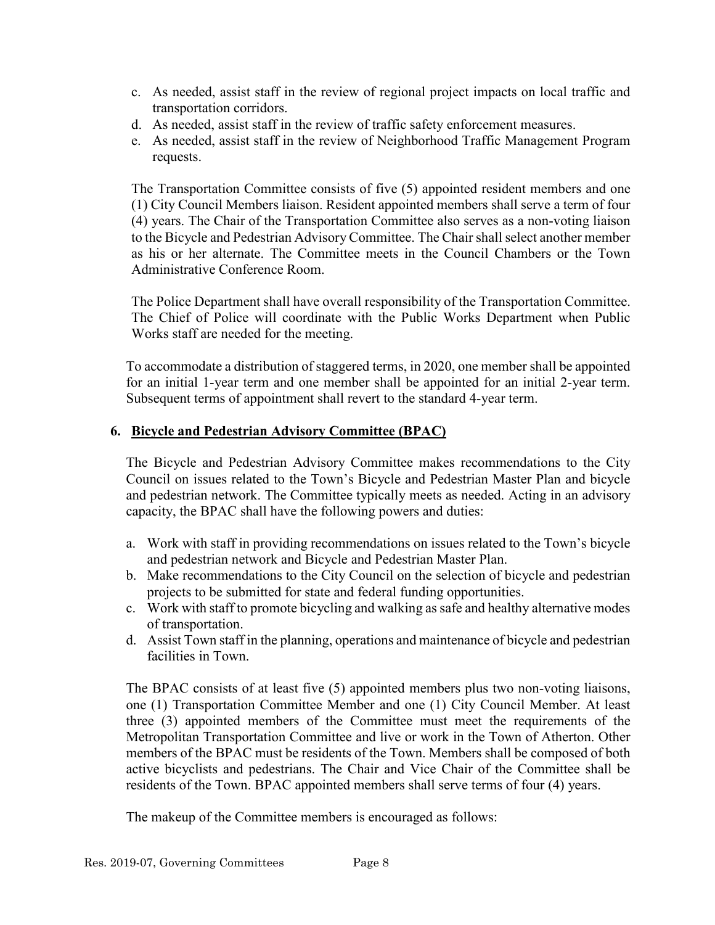- c. As needed, assist staff in the review of regional project impacts on local traffic and transportation corridors.
- d. As needed, assist staff in the review of traffic safety enforcement measures.
- e. As needed, assist staff in the review of Neighborhood Traffic Management Program requests.

The Transportation Committee consists of five (5) appointed resident members and one (1) City Council Members liaison. Resident appointed members shall serve a term of four (4) years. The Chair of the Transportation Committee also serves as a non-voting liaison to the Bicycle and Pedestrian Advisory Committee. The Chair shall select another member as his or her alternate. The Committee meets in the Council Chambers or the Town Administrative Conference Room.

The Police Department shall have overall responsibility of the Transportation Committee. The Chief of Police will coordinate with the Public Works Department when Public Works staff are needed for the meeting.

To accommodate a distribution of staggered terms, in 2020, one member shall be appointed for an initial 1-year term and one member shall be appointed for an initial 2-year term. Subsequent terms of appointment shall revert to the standard 4-year term.

## **6. Bicycle and Pedestrian Advisory Committee (BPAC)**

The Bicycle and Pedestrian Advisory Committee makes recommendations to the City Council on issues related to the Town's Bicycle and Pedestrian Master Plan and bicycle and pedestrian network. The Committee typically meets as needed. Acting in an advisory capacity, the BPAC shall have the following powers and duties:

- a. Work with staff in providing recommendations on issues related to the Town's bicycle and pedestrian network and Bicycle and Pedestrian Master Plan.
- b. Make recommendations to the City Council on the selection of bicycle and pedestrian projects to be submitted for state and federal funding opportunities.
- c. Work with staff to promote bicycling and walking as safe and healthy alternative modes of transportation.
- d. Assist Town staff in the planning, operations and maintenance of bicycle and pedestrian facilities in Town.

The BPAC consists of at least five (5) appointed members plus two non-voting liaisons, one (1) Transportation Committee Member and one (1) City Council Member. At least three (3) appointed members of the Committee must meet the requirements of the Metropolitan Transportation Committee and live or work in the Town of Atherton. Other members of the BPAC must be residents of the Town. Members shall be composed of both active bicyclists and pedestrians. The Chair and Vice Chair of the Committee shall be residents of the Town. BPAC appointed members shall serve terms of four (4) years.

The makeup of the Committee members is encouraged as follows: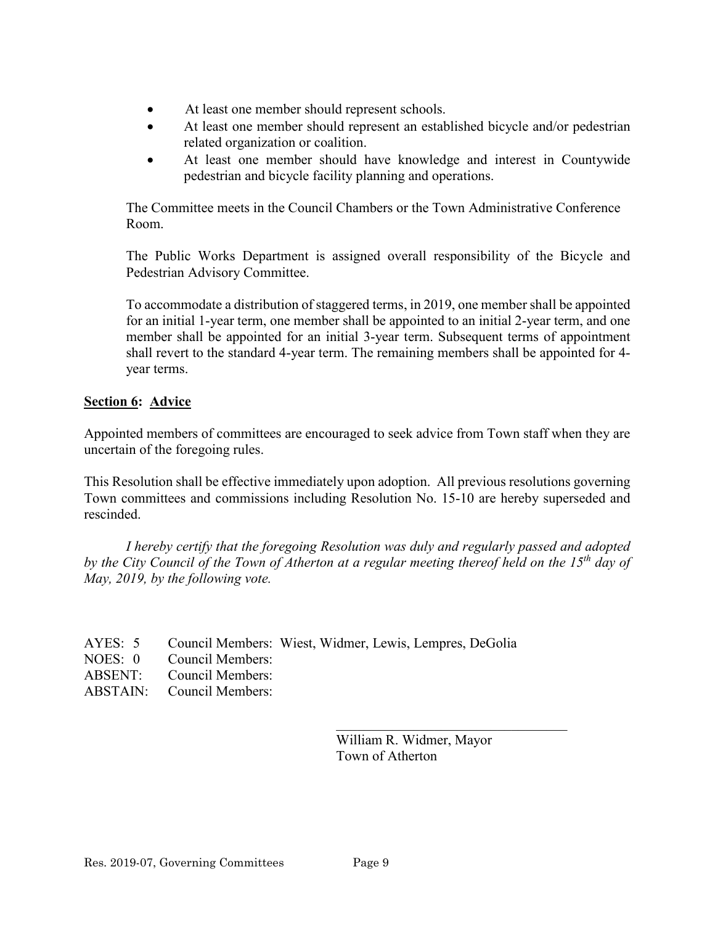- At least one member should represent schools.
- At least one member should represent an established bicycle and/or pedestrian related organization or coalition.
- At least one member should have knowledge and interest in Countywide pedestrian and bicycle facility planning and operations.

The Committee meets in the Council Chambers or the Town Administrative Conference Room.

The Public Works Department is assigned overall responsibility of the Bicycle and Pedestrian Advisory Committee.

To accommodate a distribution of staggered terms, in 2019, one member shall be appointed for an initial 1-year term, one member shall be appointed to an initial 2-year term, and one member shall be appointed for an initial 3-year term. Subsequent terms of appointment shall revert to the standard 4-year term. The remaining members shall be appointed for 4 year terms.

## **Section 6: Advice**

Appointed members of committees are encouraged to seek advice from Town staff when they are uncertain of the foregoing rules.

This Resolution shall be effective immediately upon adoption. All previous resolutions governing Town committees and commissions including Resolution No. 15-10 are hereby superseded and rescinded.

*I hereby certify that the foregoing Resolution was duly and regularly passed and adopted by the City Council of the Town of Atherton at a regular meeting thereof held on the 15th day of May, 2019, by the following vote.*

| AYES: 5 Council Members: Wiest, Widmer, Lewis, Lempres, DeGolia<br>NOES: 0 Council Members: |
|---------------------------------------------------------------------------------------------|
| ABSENT: Council Members:                                                                    |
| <b>ABSTAIN:</b> Council Members:                                                            |

William R. Widmer, Mayor Town of Atherton

 $\mathcal{L}$  , which is a set of the set of the set of the set of the set of the set of the set of the set of the set of the set of the set of the set of the set of the set of the set of the set of the set of the set of the s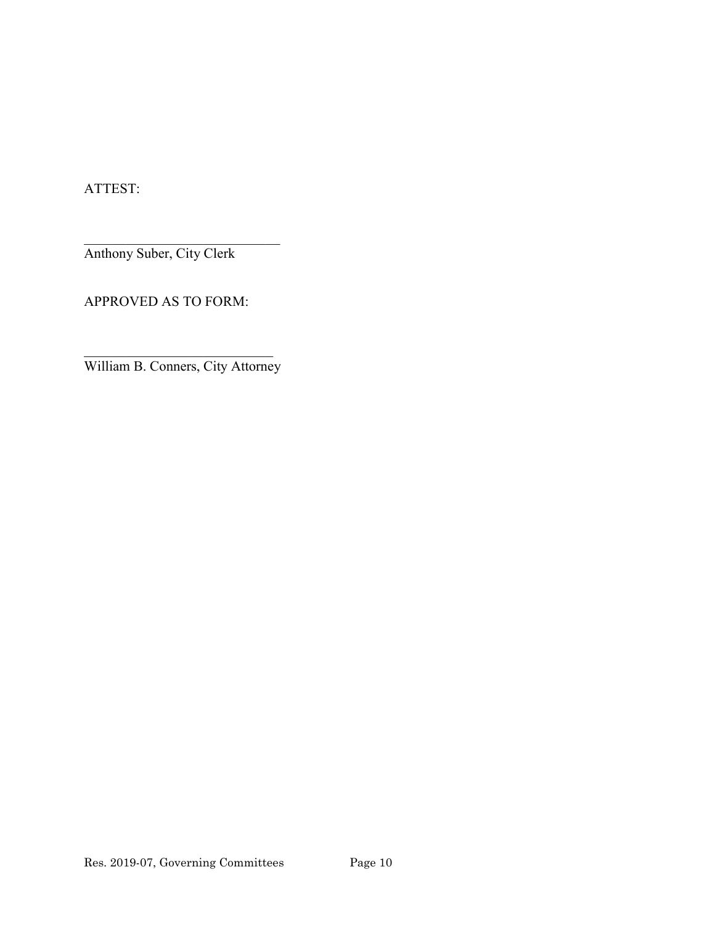ATTEST:

 $\mathcal{L}_\mathcal{L}$  , which is a set of the set of the set of the set of the set of the set of the set of the set of the set of the set of the set of the set of the set of the set of the set of the set of the set of the set of Anthony Suber, City Clerk

APPROVED AS TO FORM:

William B. Conners, City Attorney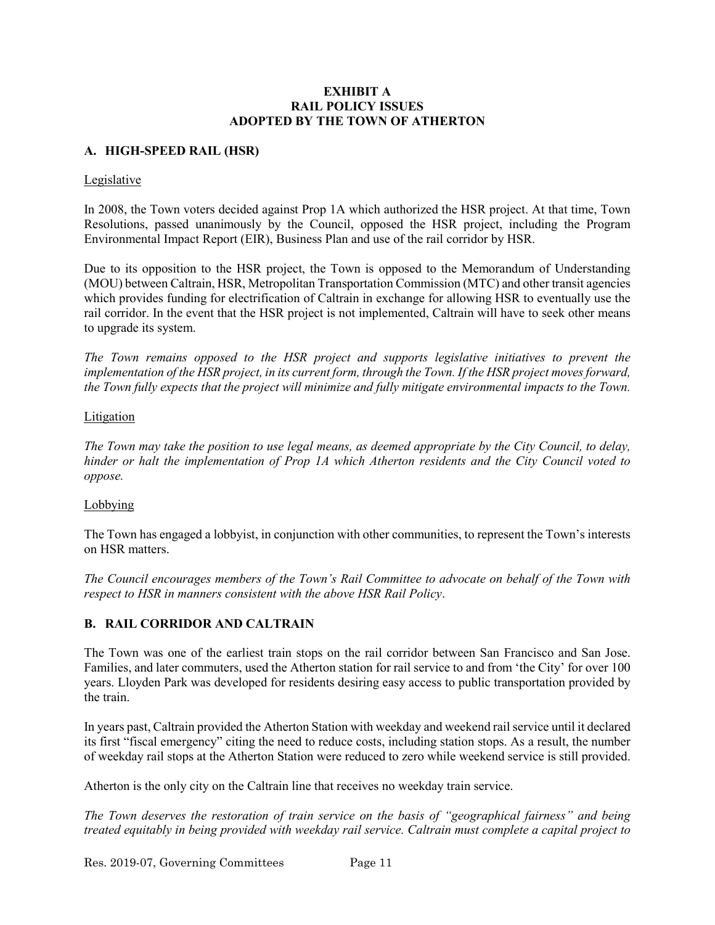### **EXHIBIT A RAIL POLICY ISSUES ADOPTED BY THE TOWN OF ATHERTON**

### **A. HIGH-SPEED RAIL (HSR)**

### Legislative

In 2008, the Town voters decided against Prop 1A which authorized the HSR project. At that time, Town Resolutions, passed unanimously by the Council, opposed the HSR project, including the Program Environmental Impact Report (EIR), Business Plan and use of the rail corridor by HSR.

Due to its opposition to the HSR project, the Town is opposed to the Memorandum of Understanding (MOU) between Caltrain, HSR, Metropolitan Transportation Commission (MTC) and other transit agencies which provides funding for electrification of Caltrain in exchange for allowing HSR to eventually use the rail corridor. In the event that the HSR project is not implemented, Caltrain will have to seek other means to upgrade its system.

*The Town remains opposed to the HSR project and supports legislative initiatives to prevent the implementation of the HSR project, in its current form, through the Town. If the HSR project moves forward, the Town fully expects that the project will minimize and fully mitigate environmental impacts to the Town.*

### Litigation

*The Town may take the position to use legal means, as deemed appropriate by the City Council, to delay, hinder or halt the implementation of Prop 1A which Atherton residents and the City Council voted to oppose.* 

### Lobbying

The Town has engaged a lobbyist, in conjunction with other communities, to represent the Town's interests on HSR matters.

*The Council encourages members of the Town's Rail Committee to advocate on behalf of the Town with respect to HSR in manners consistent with the above HSR Rail Policy*.

### **B. RAIL CORRIDOR AND CALTRAIN**

The Town was one of the earliest train stops on the rail corridor between San Francisco and San Jose. Families, and later commuters, used the Atherton station for rail service to and from 'the City' for over 100 years. Lloyden Park was developed for residents desiring easy access to public transportation provided by the train.

In years past, Caltrain provided the Atherton Station with weekday and weekend rail service until it declared its first "fiscal emergency" citing the need to reduce costs, including station stops. As a result, the number of weekday rail stops at the Atherton Station were reduced to zero while weekend service is still provided.

Atherton is the only city on the Caltrain line that receives no weekday train service.

*The Town deserves the restoration of train service on the basis of "geographical fairness" and being treated equitably in being provided with weekday rail service. Caltrain must complete a capital project to*